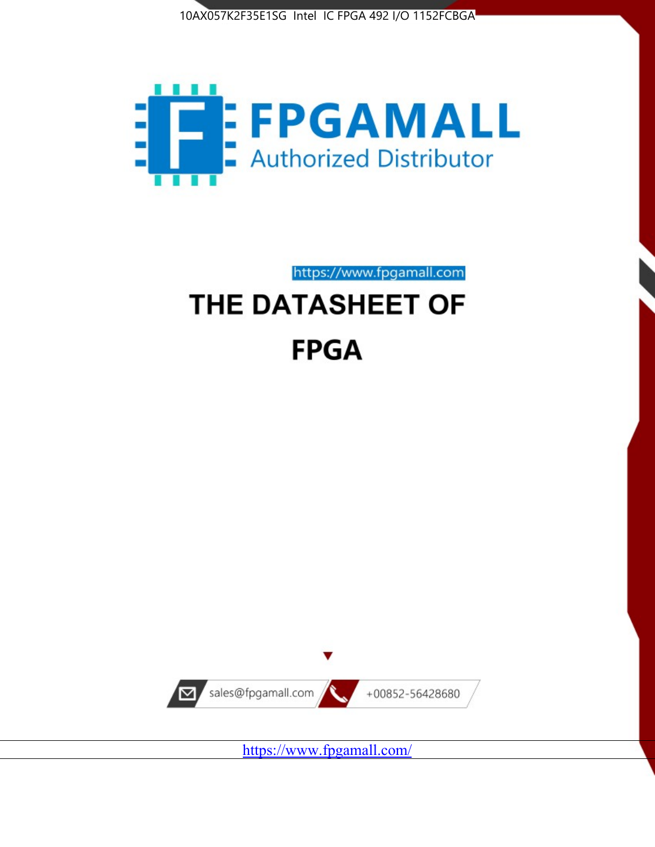



https://www.fpgamall.com

# THE DATASHEET OF **FPGA**



<https://www.fpgamall.com/>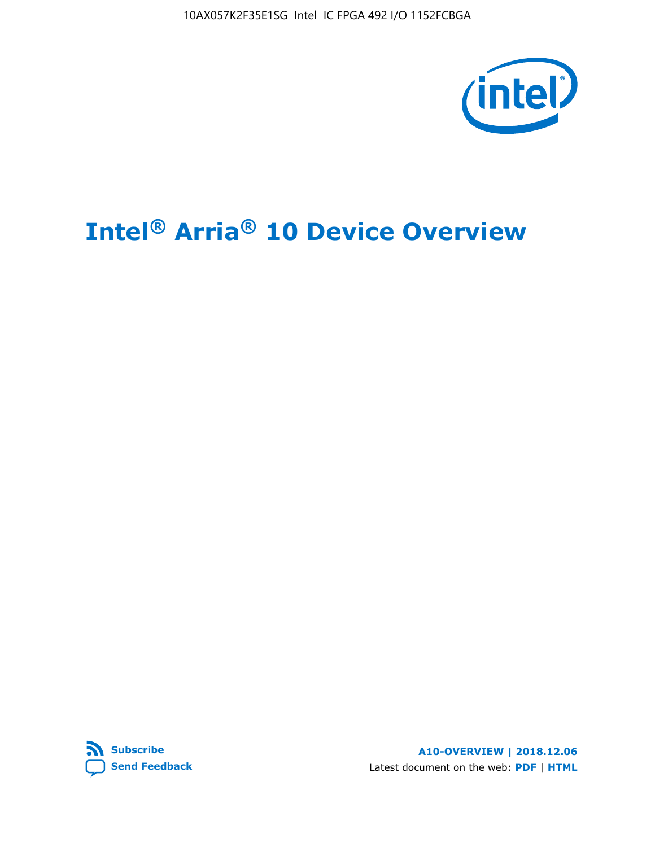10AX057K2F35E1SG Intel IC FPGA 492 I/O 1152FCBGA



# **Intel® Arria® 10 Device Overview**



**A10-OVERVIEW | 2018.12.06** Latest document on the web: **[PDF](https://www.intel.com/content/dam/www/programmable/us/en/pdfs/literature/hb/arria-10/a10_overview.pdf)** | **[HTML](https://www.intel.com/content/www/us/en/programmable/documentation/sam1403480274650.html)**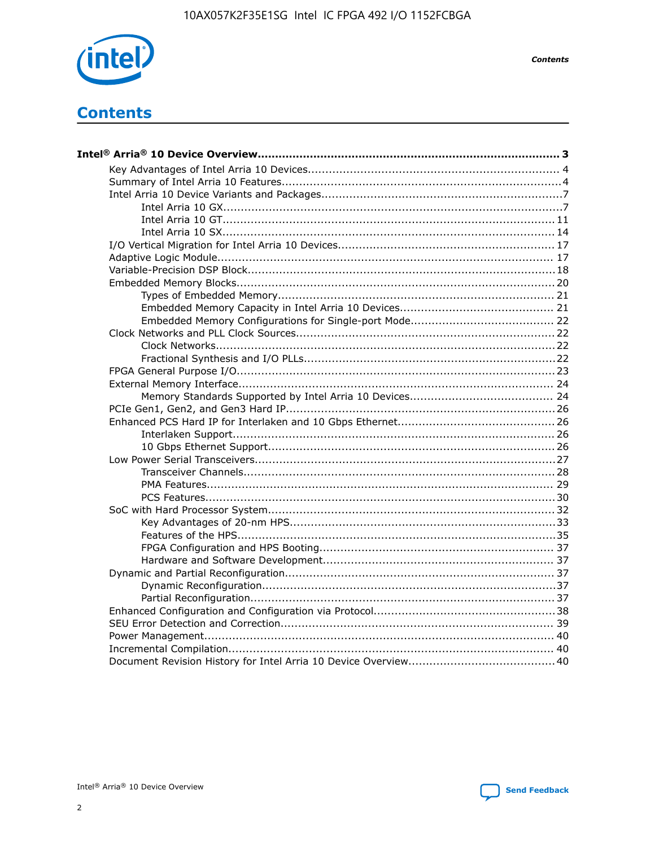

**Contents** 

# **Contents**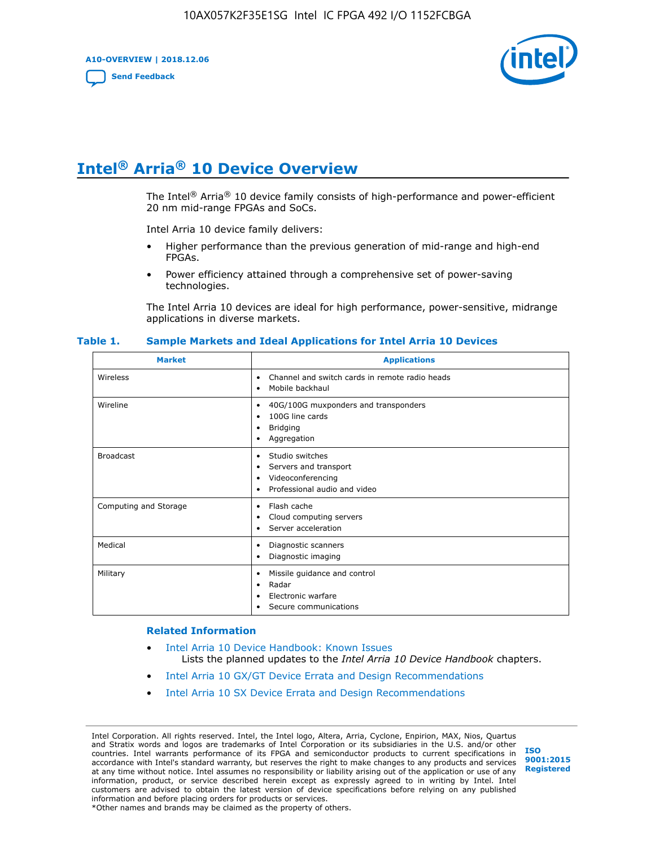**A10-OVERVIEW | 2018.12.06**

**[Send Feedback](mailto:FPGAtechdocfeedback@intel.com?subject=Feedback%20on%20Intel%20Arria%2010%20Device%20Overview%20(A10-OVERVIEW%202018.12.06)&body=We%20appreciate%20your%20feedback.%20In%20your%20comments,%20also%20specify%20the%20page%20number%20or%20paragraph.%20Thank%20you.)**



# **Intel® Arria® 10 Device Overview**

The Intel<sup>®</sup> Arria<sup>®</sup> 10 device family consists of high-performance and power-efficient 20 nm mid-range FPGAs and SoCs.

Intel Arria 10 device family delivers:

- Higher performance than the previous generation of mid-range and high-end FPGAs.
- Power efficiency attained through a comprehensive set of power-saving technologies.

The Intel Arria 10 devices are ideal for high performance, power-sensitive, midrange applications in diverse markets.

| <b>Market</b>         | <b>Applications</b>                                                                                               |
|-----------------------|-------------------------------------------------------------------------------------------------------------------|
| Wireless              | Channel and switch cards in remote radio heads<br>٠<br>Mobile backhaul<br>٠                                       |
| Wireline              | 40G/100G muxponders and transponders<br>٠<br>100G line cards<br>٠<br><b>Bridging</b><br>٠<br>Aggregation<br>٠     |
| <b>Broadcast</b>      | Studio switches<br>٠<br>Servers and transport<br>٠<br>Videoconferencing<br>٠<br>Professional audio and video<br>٠ |
| Computing and Storage | Flash cache<br>٠<br>Cloud computing servers<br>٠<br>Server acceleration<br>٠                                      |
| Medical               | Diagnostic scanners<br>٠<br>Diagnostic imaging<br>٠                                                               |
| Military              | Missile guidance and control<br>٠<br>Radar<br>٠<br>Electronic warfare<br>٠<br>Secure communications<br>٠          |

#### **Table 1. Sample Markets and Ideal Applications for Intel Arria 10 Devices**

#### **Related Information**

- [Intel Arria 10 Device Handbook: Known Issues](http://www.altera.com/support/kdb/solutions/rd07302013_646.html) Lists the planned updates to the *Intel Arria 10 Device Handbook* chapters.
- [Intel Arria 10 GX/GT Device Errata and Design Recommendations](https://www.intel.com/content/www/us/en/programmable/documentation/agz1493851706374.html#yqz1494433888646)
- [Intel Arria 10 SX Device Errata and Design Recommendations](https://www.intel.com/content/www/us/en/programmable/documentation/cru1462832385668.html#cru1462832558642)

Intel Corporation. All rights reserved. Intel, the Intel logo, Altera, Arria, Cyclone, Enpirion, MAX, Nios, Quartus and Stratix words and logos are trademarks of Intel Corporation or its subsidiaries in the U.S. and/or other countries. Intel warrants performance of its FPGA and semiconductor products to current specifications in accordance with Intel's standard warranty, but reserves the right to make changes to any products and services at any time without notice. Intel assumes no responsibility or liability arising out of the application or use of any information, product, or service described herein except as expressly agreed to in writing by Intel. Intel customers are advised to obtain the latest version of device specifications before relying on any published information and before placing orders for products or services. \*Other names and brands may be claimed as the property of others.

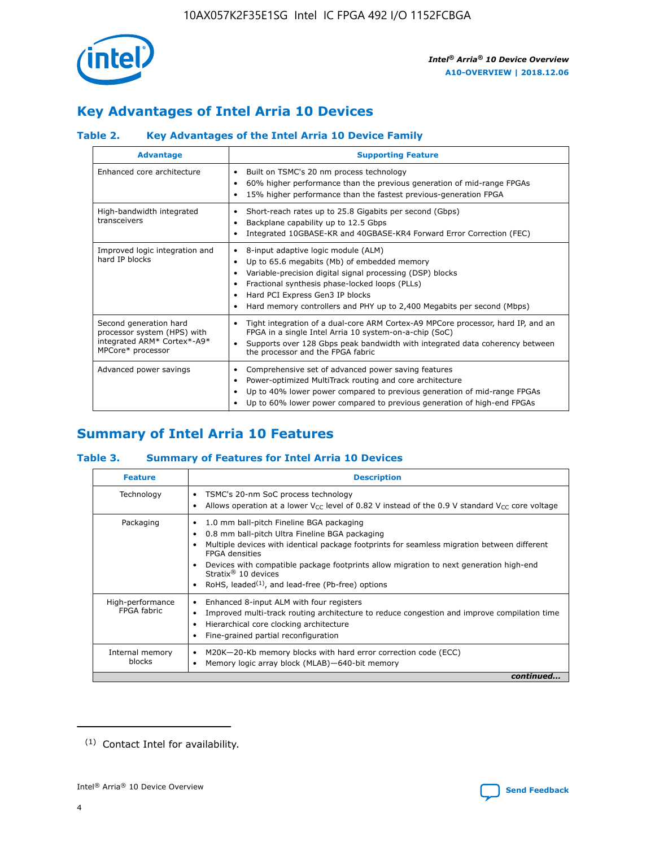

# **Key Advantages of Intel Arria 10 Devices**

## **Table 2. Key Advantages of the Intel Arria 10 Device Family**

| <b>Advantage</b>                                                                                          | <b>Supporting Feature</b>                                                                                                                                                                                                                                                                                                |  |  |  |  |  |
|-----------------------------------------------------------------------------------------------------------|--------------------------------------------------------------------------------------------------------------------------------------------------------------------------------------------------------------------------------------------------------------------------------------------------------------------------|--|--|--|--|--|
| Enhanced core architecture                                                                                | Built on TSMC's 20 nm process technology<br>٠<br>60% higher performance than the previous generation of mid-range FPGAs<br>٠<br>15% higher performance than the fastest previous-generation FPGA<br>٠                                                                                                                    |  |  |  |  |  |
| High-bandwidth integrated<br>transceivers                                                                 | Short-reach rates up to 25.8 Gigabits per second (Gbps)<br>٠<br>Backplane capability up to 12.5 Gbps<br>٠<br>Integrated 10GBASE-KR and 40GBASE-KR4 Forward Error Correction (FEC)<br>٠                                                                                                                                   |  |  |  |  |  |
| Improved logic integration and<br>hard IP blocks                                                          | 8-input adaptive logic module (ALM)<br>٠<br>Up to 65.6 megabits (Mb) of embedded memory<br>٠<br>Variable-precision digital signal processing (DSP) blocks<br>Fractional synthesis phase-locked loops (PLLs)<br>Hard PCI Express Gen3 IP blocks<br>Hard memory controllers and PHY up to 2,400 Megabits per second (Mbps) |  |  |  |  |  |
| Second generation hard<br>processor system (HPS) with<br>integrated ARM* Cortex*-A9*<br>MPCore* processor | Tight integration of a dual-core ARM Cortex-A9 MPCore processor, hard IP, and an<br>٠<br>FPGA in a single Intel Arria 10 system-on-a-chip (SoC)<br>Supports over 128 Gbps peak bandwidth with integrated data coherency between<br>$\bullet$<br>the processor and the FPGA fabric                                        |  |  |  |  |  |
| Advanced power savings                                                                                    | Comprehensive set of advanced power saving features<br>٠<br>Power-optimized MultiTrack routing and core architecture<br>٠<br>Up to 40% lower power compared to previous generation of mid-range FPGAs<br>٠<br>Up to 60% lower power compared to previous generation of high-end FPGAs                                    |  |  |  |  |  |

# **Summary of Intel Arria 10 Features**

## **Table 3. Summary of Features for Intel Arria 10 Devices**

| <b>Feature</b>                  | <b>Description</b>                                                                                                                                                                                                                                                                                                                                                                                       |
|---------------------------------|----------------------------------------------------------------------------------------------------------------------------------------------------------------------------------------------------------------------------------------------------------------------------------------------------------------------------------------------------------------------------------------------------------|
| Technology                      | TSMC's 20-nm SoC process technology<br>٠<br>Allows operation at a lower $V_{\text{CC}}$ level of 0.82 V instead of the 0.9 V standard $V_{\text{CC}}$ core voltage                                                                                                                                                                                                                                       |
| Packaging                       | 1.0 mm ball-pitch Fineline BGA packaging<br>0.8 mm ball-pitch Ultra Fineline BGA packaging<br>Multiple devices with identical package footprints for seamless migration between different<br><b>FPGA</b> densities<br>Devices with compatible package footprints allow migration to next generation high-end<br>Stratix $\mathcal{R}$ 10 devices<br>RoHS, leaded $(1)$ , and lead-free (Pb-free) options |
| High-performance<br>FPGA fabric | Enhanced 8-input ALM with four registers<br>٠<br>Improved multi-track routing architecture to reduce congestion and improve compilation time<br>Hierarchical core clocking architecture<br>Fine-grained partial reconfiguration                                                                                                                                                                          |
| Internal memory<br>blocks       | M20K-20-Kb memory blocks with hard error correction code (ECC)<br>Memory logic array block (MLAB)-640-bit memory                                                                                                                                                                                                                                                                                         |
|                                 | continued                                                                                                                                                                                                                                                                                                                                                                                                |



<sup>(1)</sup> Contact Intel for availability.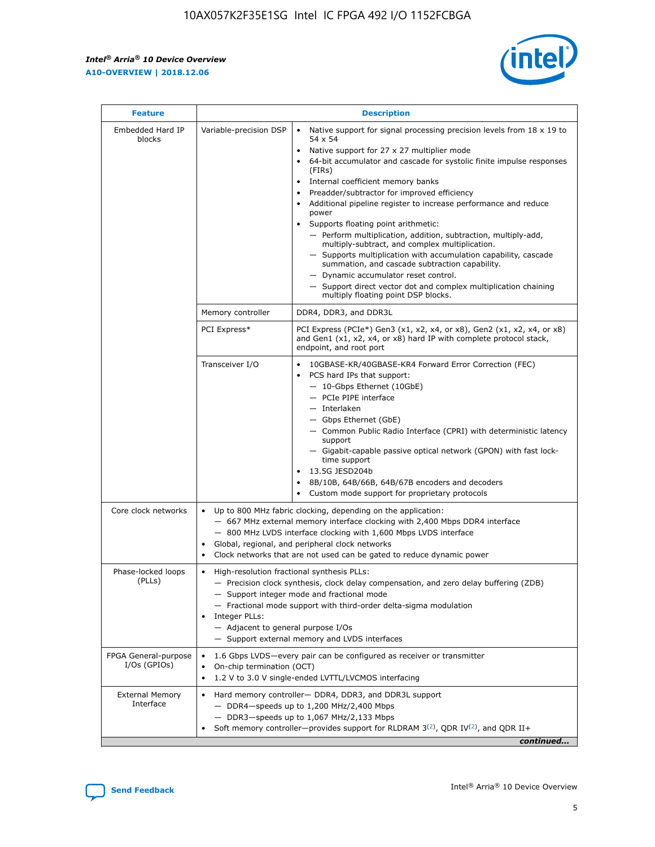$\mathbf{r}$ 



| <b>Feature</b>                         |                                                                                                                | <b>Description</b>                                                                                                                                                                                                                                                                                                                                                                                                                                                                                                                                                                                                                                                                                                                                                                                                                                               |  |  |  |  |  |  |  |
|----------------------------------------|----------------------------------------------------------------------------------------------------------------|------------------------------------------------------------------------------------------------------------------------------------------------------------------------------------------------------------------------------------------------------------------------------------------------------------------------------------------------------------------------------------------------------------------------------------------------------------------------------------------------------------------------------------------------------------------------------------------------------------------------------------------------------------------------------------------------------------------------------------------------------------------------------------------------------------------------------------------------------------------|--|--|--|--|--|--|--|
| Embedded Hard IP<br>blocks             | Variable-precision DSP                                                                                         | Native support for signal processing precision levels from $18 \times 19$ to<br>$\bullet$<br>54 x 54<br>Native support for 27 x 27 multiplier mode<br>$\bullet$<br>64-bit accumulator and cascade for systolic finite impulse responses<br>(FIRs)<br>Internal coefficient memory banks<br>$\bullet$<br>Preadder/subtractor for improved efficiency<br>Additional pipeline register to increase performance and reduce<br>power<br>Supports floating point arithmetic:<br>- Perform multiplication, addition, subtraction, multiply-add,<br>multiply-subtract, and complex multiplication.<br>- Supports multiplication with accumulation capability, cascade<br>summation, and cascade subtraction capability.<br>- Dynamic accumulator reset control.<br>- Support direct vector dot and complex multiplication chaining<br>multiply floating point DSP blocks. |  |  |  |  |  |  |  |
|                                        | Memory controller                                                                                              | DDR4, DDR3, and DDR3L                                                                                                                                                                                                                                                                                                                                                                                                                                                                                                                                                                                                                                                                                                                                                                                                                                            |  |  |  |  |  |  |  |
|                                        | PCI Express*                                                                                                   | PCI Express (PCIe*) Gen3 (x1, x2, x4, or x8), Gen2 (x1, x2, x4, or x8)<br>and Gen1 (x1, x2, x4, or x8) hard IP with complete protocol stack,<br>endpoint, and root port                                                                                                                                                                                                                                                                                                                                                                                                                                                                                                                                                                                                                                                                                          |  |  |  |  |  |  |  |
|                                        | Transceiver I/O                                                                                                | 10GBASE-KR/40GBASE-KR4 Forward Error Correction (FEC)<br>PCS hard IPs that support:<br>- 10-Gbps Ethernet (10GbE)<br>- PCIe PIPE interface<br>- Interlaken<br>- Gbps Ethernet (GbE)<br>- Common Public Radio Interface (CPRI) with deterministic latency<br>support<br>- Gigabit-capable passive optical network (GPON) with fast lock-<br>time support<br>13.5G JESD204b<br>$\bullet$<br>8B/10B, 64B/66B, 64B/67B encoders and decoders<br>Custom mode support for proprietary protocols                                                                                                                                                                                                                                                                                                                                                                        |  |  |  |  |  |  |  |
| Core clock networks                    | $\bullet$                                                                                                      | Up to 800 MHz fabric clocking, depending on the application:<br>- 667 MHz external memory interface clocking with 2,400 Mbps DDR4 interface<br>- 800 MHz LVDS interface clocking with 1,600 Mbps LVDS interface<br>Global, regional, and peripheral clock networks<br>Clock networks that are not used can be gated to reduce dynamic power                                                                                                                                                                                                                                                                                                                                                                                                                                                                                                                      |  |  |  |  |  |  |  |
| Phase-locked loops<br>(PLLs)           | High-resolution fractional synthesis PLLs:<br>$\bullet$<br>Integer PLLs:<br>- Adjacent to general purpose I/Os | - Precision clock synthesis, clock delay compensation, and zero delay buffering (ZDB)<br>- Support integer mode and fractional mode<br>- Fractional mode support with third-order delta-sigma modulation<br>- Support external memory and LVDS interfaces                                                                                                                                                                                                                                                                                                                                                                                                                                                                                                                                                                                                        |  |  |  |  |  |  |  |
| FPGA General-purpose<br>$I/Os$ (GPIOs) | On-chip termination (OCT)<br>$\bullet$                                                                         | 1.6 Gbps LVDS-every pair can be configured as receiver or transmitter<br>1.2 V to 3.0 V single-ended LVTTL/LVCMOS interfacing                                                                                                                                                                                                                                                                                                                                                                                                                                                                                                                                                                                                                                                                                                                                    |  |  |  |  |  |  |  |
| <b>External Memory</b><br>Interface    | $\bullet$                                                                                                      | Hard memory controller- DDR4, DDR3, and DDR3L support<br>$-$ DDR4-speeds up to 1,200 MHz/2,400 Mbps<br>- DDR3-speeds up to 1,067 MHz/2,133 Mbps<br>Soft memory controller—provides support for RLDRAM $3^{(2)}$ , QDR IV $^{(2)}$ , and QDR II+<br>continued                                                                                                                                                                                                                                                                                                                                                                                                                                                                                                                                                                                                     |  |  |  |  |  |  |  |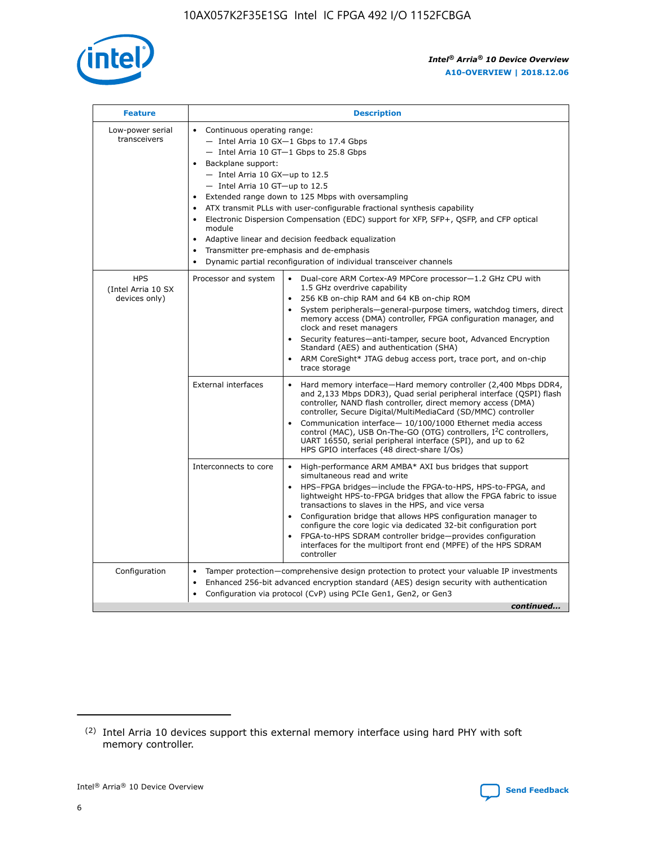

| <b>Feature</b>                                    | <b>Description</b>                                                                                                                                                                                                                                                                                                                                                                                                                                                                                                                                                                                                                             |  |  |  |  |  |  |  |
|---------------------------------------------------|------------------------------------------------------------------------------------------------------------------------------------------------------------------------------------------------------------------------------------------------------------------------------------------------------------------------------------------------------------------------------------------------------------------------------------------------------------------------------------------------------------------------------------------------------------------------------------------------------------------------------------------------|--|--|--|--|--|--|--|
| Low-power serial<br>transceivers                  | • Continuous operating range:<br>- Intel Arria 10 GX-1 Gbps to 17.4 Gbps<br>- Intel Arria 10 GT-1 Gbps to 25.8 Gbps<br>Backplane support:<br>$-$ Intel Arria 10 GX-up to 12.5<br>$-$ Intel Arria 10 GT-up to 12.5<br>Extended range down to 125 Mbps with oversampling<br>ATX transmit PLLs with user-configurable fractional synthesis capability<br>• Electronic Dispersion Compensation (EDC) support for XFP, SFP+, QSFP, and CFP optical<br>module<br>• Adaptive linear and decision feedback equalization<br>Transmitter pre-emphasis and de-emphasis<br>$\bullet$<br>Dynamic partial reconfiguration of individual transceiver channels |  |  |  |  |  |  |  |
| <b>HPS</b><br>(Intel Arria 10 SX<br>devices only) | Processor and system<br>Dual-core ARM Cortex-A9 MPCore processor-1.2 GHz CPU with<br>$\bullet$<br>1.5 GHz overdrive capability<br>256 KB on-chip RAM and 64 KB on-chip ROM<br>$\bullet$<br>System peripherals-general-purpose timers, watchdog timers, direct<br>memory access (DMA) controller, FPGA configuration manager, and<br>clock and reset managers<br>• Security features—anti-tamper, secure boot, Advanced Encryption<br>Standard (AES) and authentication (SHA)<br>ARM CoreSight* JTAG debug access port, trace port, and on-chip<br>trace storage                                                                                |  |  |  |  |  |  |  |
|                                                   | <b>External interfaces</b><br>Hard memory interface—Hard memory controller (2,400 Mbps DDR4,<br>$\bullet$<br>and 2,133 Mbps DDR3), Quad serial peripheral interface (QSPI) flash<br>controller, NAND flash controller, direct memory access (DMA)<br>controller, Secure Digital/MultiMediaCard (SD/MMC) controller<br>Communication interface-10/100/1000 Ethernet media access<br>control (MAC), USB On-The-GO (OTG) controllers, I <sup>2</sup> C controllers,<br>UART 16550, serial peripheral interface (SPI), and up to 62<br>HPS GPIO interfaces (48 direct-share I/Os)                                                                  |  |  |  |  |  |  |  |
|                                                   | High-performance ARM AMBA* AXI bus bridges that support<br>Interconnects to core<br>$\bullet$<br>simultaneous read and write<br>HPS-FPGA bridges—include the FPGA-to-HPS, HPS-to-FPGA, and<br>$\bullet$<br>lightweight HPS-to-FPGA bridges that allow the FPGA fabric to issue<br>transactions to slaves in the HPS, and vice versa<br>Configuration bridge that allows HPS configuration manager to<br>configure the core logic via dedicated 32-bit configuration port<br>FPGA-to-HPS SDRAM controller bridge-provides configuration<br>interfaces for the multiport front end (MPFE) of the HPS SDRAM<br>controller                         |  |  |  |  |  |  |  |
| Configuration                                     | Tamper protection—comprehensive design protection to protect your valuable IP investments<br>Enhanced 256-bit advanced encryption standard (AES) design security with authentication<br>$\bullet$<br>Configuration via protocol (CvP) using PCIe Gen1, Gen2, or Gen3<br>continued                                                                                                                                                                                                                                                                                                                                                              |  |  |  |  |  |  |  |

<sup>(2)</sup> Intel Arria 10 devices support this external memory interface using hard PHY with soft memory controller.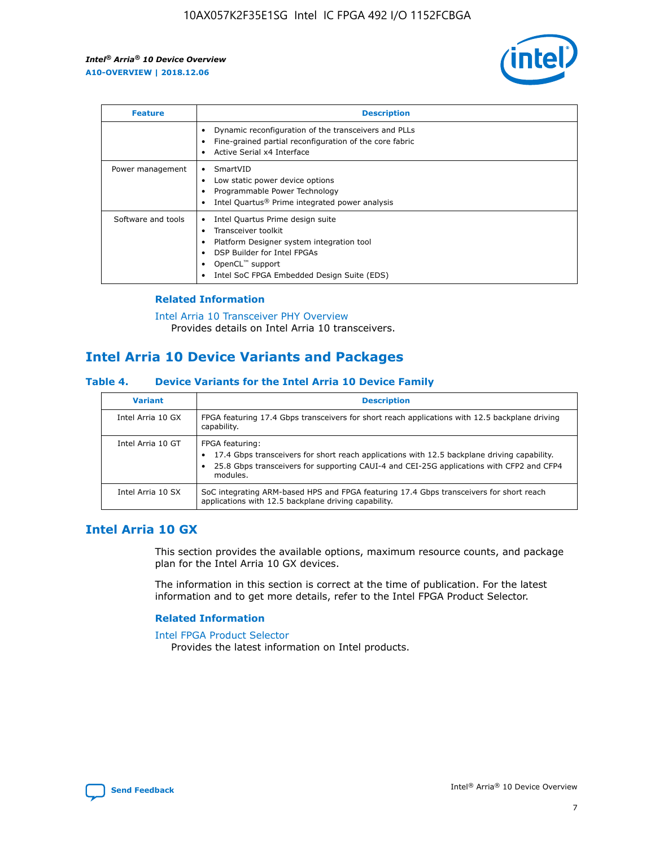

| <b>Feature</b>     | <b>Description</b>                                                                                                                                                                                                            |
|--------------------|-------------------------------------------------------------------------------------------------------------------------------------------------------------------------------------------------------------------------------|
|                    | Dynamic reconfiguration of the transceivers and PLLs<br>Fine-grained partial reconfiguration of the core fabric<br>Active Serial x4 Interface<br>$\bullet$                                                                    |
| Power management   | SmartVID<br>Low static power device options<br>Programmable Power Technology<br>Intel Quartus <sup>®</sup> Prime integrated power analysis                                                                                    |
| Software and tools | Intel Quartus Prime design suite<br>Transceiver toolkit<br>$\bullet$<br>Platform Designer system integration tool<br>DSP Builder for Intel FPGAs<br>OpenCL <sup>™</sup> support<br>Intel SoC FPGA Embedded Design Suite (EDS) |

## **Related Information**

#### [Intel Arria 10 Transceiver PHY Overview](https://www.intel.com/content/www/us/en/programmable/documentation/nik1398707230472.html#nik1398706768037) Provides details on Intel Arria 10 transceivers.

## **Intel Arria 10 Device Variants and Packages**

#### **Table 4. Device Variants for the Intel Arria 10 Device Family**

| <b>Variant</b>    | <b>Description</b>                                                                                                                                                                                                     |
|-------------------|------------------------------------------------------------------------------------------------------------------------------------------------------------------------------------------------------------------------|
| Intel Arria 10 GX | FPGA featuring 17.4 Gbps transceivers for short reach applications with 12.5 backplane driving<br>capability.                                                                                                          |
| Intel Arria 10 GT | FPGA featuring:<br>17.4 Gbps transceivers for short reach applications with 12.5 backplane driving capability.<br>25.8 Gbps transceivers for supporting CAUI-4 and CEI-25G applications with CFP2 and CFP4<br>modules. |
| Intel Arria 10 SX | SoC integrating ARM-based HPS and FPGA featuring 17.4 Gbps transceivers for short reach<br>applications with 12.5 backplane driving capability.                                                                        |

## **Intel Arria 10 GX**

This section provides the available options, maximum resource counts, and package plan for the Intel Arria 10 GX devices.

The information in this section is correct at the time of publication. For the latest information and to get more details, refer to the Intel FPGA Product Selector.

#### **Related Information**

#### [Intel FPGA Product Selector](http://www.altera.com/products/selector/psg-selector.html) Provides the latest information on Intel products.

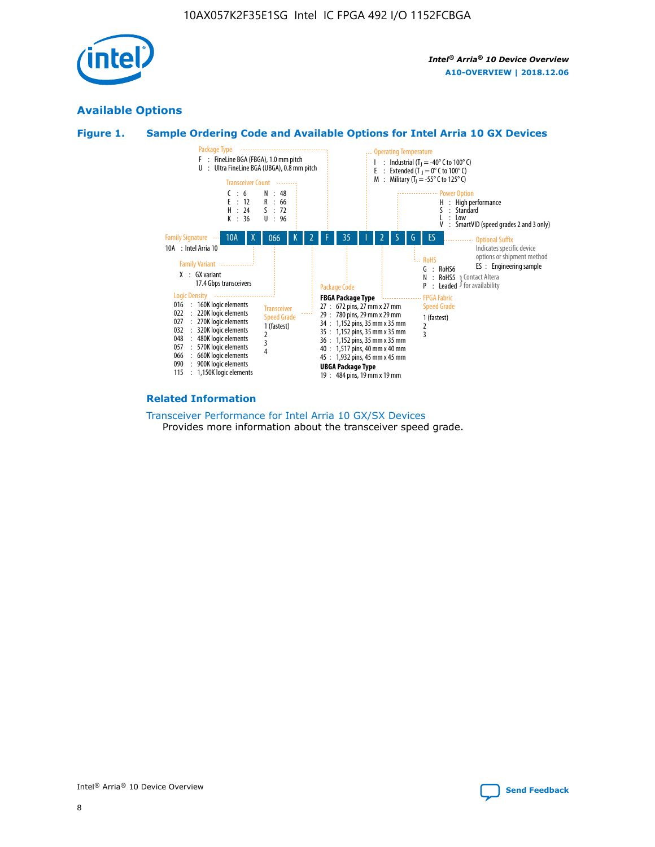

## **Available Options**





#### **Related Information**

[Transceiver Performance for Intel Arria 10 GX/SX Devices](https://www.intel.com/content/www/us/en/programmable/documentation/mcn1413182292568.html#mcn1413213965502) Provides more information about the transceiver speed grade.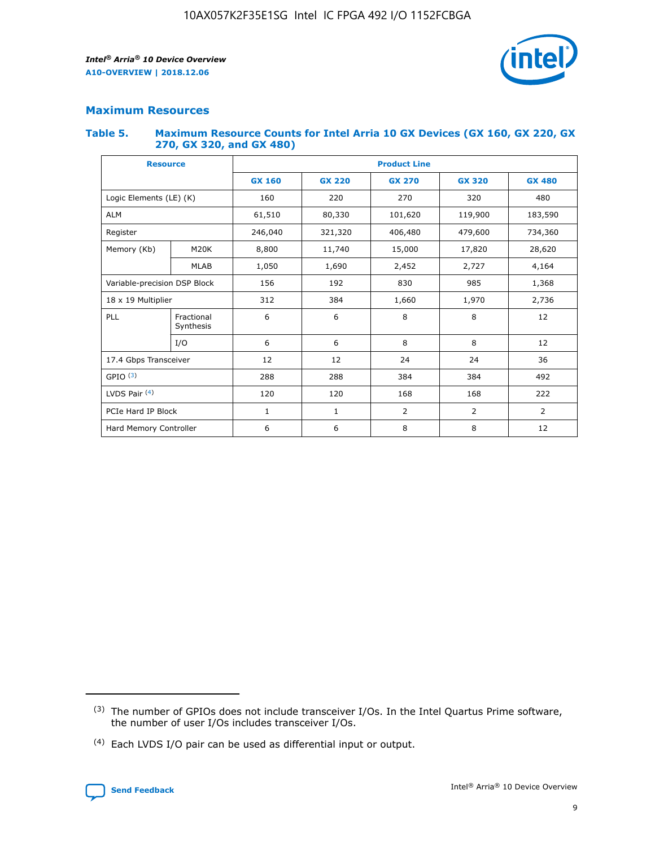

## **Maximum Resources**

#### **Table 5. Maximum Resource Counts for Intel Arria 10 GX Devices (GX 160, GX 220, GX 270, GX 320, and GX 480)**

| <b>Resource</b>              |                         | <b>Product Line</b> |                                |                  |                |                |  |  |  |
|------------------------------|-------------------------|---------------------|--------------------------------|------------------|----------------|----------------|--|--|--|
|                              |                         | <b>GX 160</b>       | <b>GX 220</b><br><b>GX 270</b> |                  | <b>GX 320</b>  | <b>GX 480</b>  |  |  |  |
| Logic Elements (LE) (K)      |                         | 160                 | 220                            | 270              | 320            | 480            |  |  |  |
| <b>ALM</b>                   |                         | 61,510              | 80,330                         | 101,620          | 119,900        | 183,590        |  |  |  |
| Register                     |                         | 246,040             | 321,320                        | 406,480          |                | 734,360        |  |  |  |
| Memory (Kb)                  | M <sub>20</sub> K       | 8,800               | 11,740                         | 15,000<br>17,820 |                | 28,620         |  |  |  |
| <b>MLAB</b>                  |                         | 1,050               | 1,690<br>2,452                 |                  | 2,727          | 4,164          |  |  |  |
| Variable-precision DSP Block |                         | 156                 | 192<br>830<br>985              |                  |                | 1,368          |  |  |  |
| 18 x 19 Multiplier           |                         | 312                 | 384                            | 1,970<br>1,660   |                | 2,736          |  |  |  |
| PLL                          | Fractional<br>Synthesis | 6                   | 6                              | 8                | 8              | 12             |  |  |  |
|                              | I/O                     | 6                   | 6                              | 8                | 8              | 12             |  |  |  |
| 17.4 Gbps Transceiver        |                         | 12                  | 12                             | 24               | 24             |                |  |  |  |
| GPIO <sup>(3)</sup>          |                         | 288                 | 288<br>384<br>384              |                  |                | 492            |  |  |  |
| LVDS Pair $(4)$              |                         | 120                 | 120                            | 168              | 168            | 222            |  |  |  |
| PCIe Hard IP Block           |                         | $\mathbf{1}$        | 1                              | $\overline{2}$   | $\overline{2}$ | $\overline{2}$ |  |  |  |
| Hard Memory Controller       |                         | 6                   | 6                              | 8                | 8              | 12             |  |  |  |

<sup>(4)</sup> Each LVDS I/O pair can be used as differential input or output.



<sup>(3)</sup> The number of GPIOs does not include transceiver I/Os. In the Intel Quartus Prime software, the number of user I/Os includes transceiver I/Os.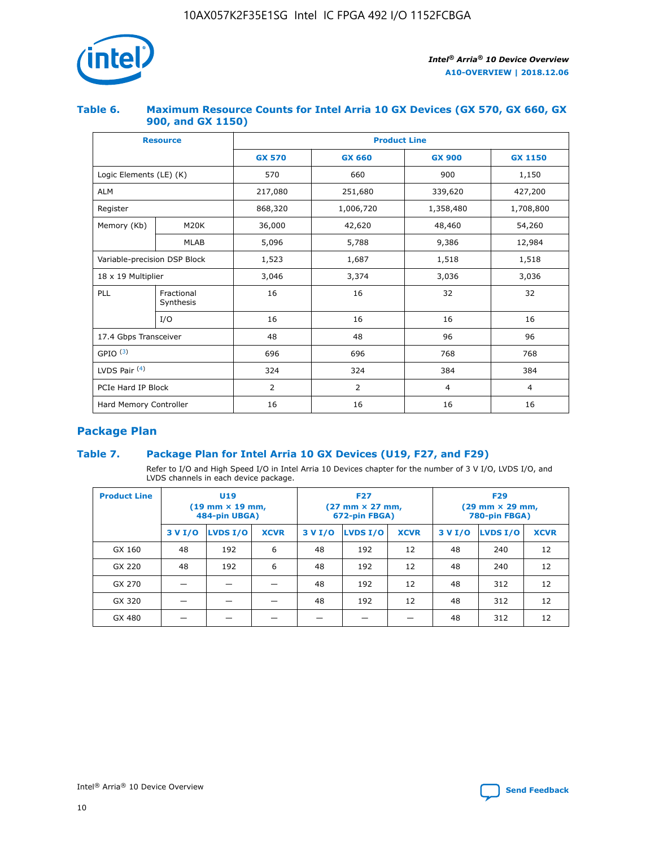

## **Table 6. Maximum Resource Counts for Intel Arria 10 GX Devices (GX 570, GX 660, GX 900, and GX 1150)**

|                              | <b>Resource</b>         | <b>Product Line</b> |                |                |                |  |  |  |
|------------------------------|-------------------------|---------------------|----------------|----------------|----------------|--|--|--|
|                              |                         | <b>GX 570</b>       | <b>GX 660</b>  | <b>GX 900</b>  | <b>GX 1150</b> |  |  |  |
| Logic Elements (LE) (K)      |                         | 570                 | 660            | 900            | 1,150          |  |  |  |
| <b>ALM</b>                   |                         | 217,080             | 251,680        | 339,620        | 427,200        |  |  |  |
| Register                     |                         | 868,320             | 1,006,720      | 1,358,480      | 1,708,800      |  |  |  |
| Memory (Kb)                  | <b>M20K</b>             | 36,000              | 42,620         | 48,460         | 54,260         |  |  |  |
|                              | <b>MLAB</b>             | 5,096               | 5,788          | 9,386          | 12,984         |  |  |  |
| Variable-precision DSP Block |                         | 1,523               | 1,687          | 1,518          | 1,518          |  |  |  |
| 18 x 19 Multiplier           |                         | 3,046               | 3,374          | 3,036          | 3,036          |  |  |  |
| PLL                          | Fractional<br>Synthesis | 16                  | 16             | 32             | 32             |  |  |  |
|                              | I/O                     | 16                  | 16             | 16             | 16             |  |  |  |
| 17.4 Gbps Transceiver        |                         | 48                  | 48             | 96             | 96             |  |  |  |
| GPIO <sup>(3)</sup>          |                         | 696                 | 696            | 768            | 768            |  |  |  |
| LVDS Pair $(4)$              |                         | 324                 | 324            | 384            | 384            |  |  |  |
| PCIe Hard IP Block           |                         | 2                   | $\overline{2}$ | $\overline{4}$ | $\overline{4}$ |  |  |  |
| Hard Memory Controller       |                         | 16                  | 16             | 16             | 16             |  |  |  |

## **Package Plan**

## **Table 7. Package Plan for Intel Arria 10 GX Devices (U19, F27, and F29)**

Refer to I/O and High Speed I/O in Intel Arria 10 Devices chapter for the number of 3 V I/O, LVDS I/O, and LVDS channels in each device package.

| <b>Product Line</b> | U <sub>19</sub><br>$(19 \text{ mm} \times 19 \text{ mm})$<br>484-pin UBGA) |          |             |         | <b>F27</b><br>(27 mm × 27 mm,<br>672-pin FBGA) |             | <b>F29</b><br>(29 mm × 29 mm,<br>780-pin FBGA) |          |             |  |
|---------------------|----------------------------------------------------------------------------|----------|-------------|---------|------------------------------------------------|-------------|------------------------------------------------|----------|-------------|--|
|                     | 3 V I/O                                                                    | LVDS I/O | <b>XCVR</b> | 3 V I/O | <b>LVDS I/O</b>                                | <b>XCVR</b> | 3 V I/O                                        | LVDS I/O | <b>XCVR</b> |  |
| GX 160              | 48                                                                         | 192      | 6           | 48      | 192                                            | 12          | 48                                             | 240      | 12          |  |
| GX 220              | 48                                                                         | 192      | 6           | 48      | 192                                            | 12          | 48                                             | 240      | 12          |  |
| GX 270              |                                                                            |          |             | 48      | 192                                            | 12          | 48                                             | 312      | 12          |  |
| GX 320              |                                                                            |          |             | 48      | 192                                            | 12          | 48                                             | 312      | 12          |  |
| GX 480              |                                                                            |          |             |         |                                                |             | 48                                             | 312      | 12          |  |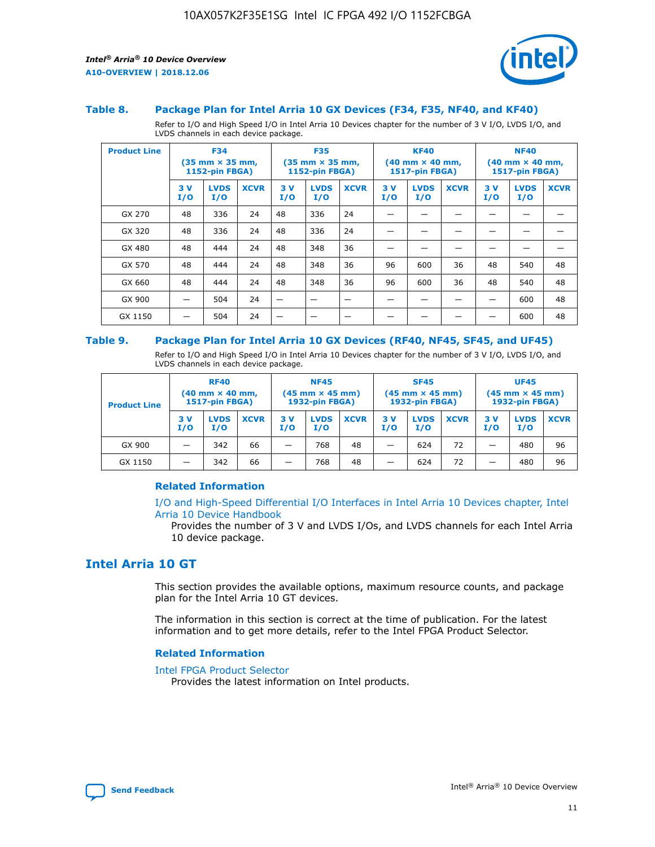

#### **Table 8. Package Plan for Intel Arria 10 GX Devices (F34, F35, NF40, and KF40)**

Refer to I/O and High Speed I/O in Intel Arria 10 Devices chapter for the number of 3 V I/O, LVDS I/O, and LVDS channels in each device package.

| <b>Product Line</b> | <b>F34</b><br>$(35 \text{ mm} \times 35 \text{ mm})$<br>1152-pin FBGA) |                    | <b>F35</b><br>$(35 \text{ mm} \times 35 \text{ mm})$<br><b>1152-pin FBGA)</b> |           | <b>KF40</b><br>$(40$ mm $\times$ 40 mm,<br>1517-pin FBGA) |             |           | <b>NF40</b><br>$(40$ mm $\times$ 40 mm,<br><b>1517-pin FBGA)</b> |             |            |                    |             |
|---------------------|------------------------------------------------------------------------|--------------------|-------------------------------------------------------------------------------|-----------|-----------------------------------------------------------|-------------|-----------|------------------------------------------------------------------|-------------|------------|--------------------|-------------|
|                     | 3V<br>I/O                                                              | <b>LVDS</b><br>I/O | <b>XCVR</b>                                                                   | 3V<br>I/O | <b>LVDS</b><br>I/O                                        | <b>XCVR</b> | 3V<br>I/O | <b>LVDS</b><br>I/O                                               | <b>XCVR</b> | 3 V<br>I/O | <b>LVDS</b><br>I/O | <b>XCVR</b> |
| GX 270              | 48                                                                     | 336                | 24                                                                            | 48        | 336                                                       | 24          |           |                                                                  |             |            |                    |             |
| GX 320              | 48                                                                     | 336                | 24                                                                            | 48        | 336                                                       | 24          |           |                                                                  |             |            |                    |             |
| GX 480              | 48                                                                     | 444                | 24                                                                            | 48        | 348                                                       | 36          |           |                                                                  |             |            |                    |             |
| GX 570              | 48                                                                     | 444                | 24                                                                            | 48        | 348                                                       | 36          | 96        | 600                                                              | 36          | 48         | 540                | 48          |
| GX 660              | 48                                                                     | 444                | 24                                                                            | 48        | 348                                                       | 36          | 96        | 600                                                              | 36          | 48         | 540                | 48          |
| GX 900              |                                                                        | 504                | 24                                                                            | -         |                                                           |             |           |                                                                  |             |            | 600                | 48          |
| GX 1150             |                                                                        | 504                | 24                                                                            |           |                                                           |             |           |                                                                  |             |            | 600                | 48          |

#### **Table 9. Package Plan for Intel Arria 10 GX Devices (RF40, NF45, SF45, and UF45)**

Refer to I/O and High Speed I/O in Intel Arria 10 Devices chapter for the number of 3 V I/O, LVDS I/O, and LVDS channels in each device package.

| <b>Product Line</b> | <b>RF40</b><br>$(40$ mm $\times$ 40 mm,<br>1517-pin FBGA) |                    | <b>NF45</b><br>$(45 \text{ mm} \times 45 \text{ mm})$<br><b>1932-pin FBGA)</b> |            |                    | <b>SF45</b><br>$(45 \text{ mm} \times 45 \text{ mm})$<br><b>1932-pin FBGA)</b> |            |                    | <b>UF45</b><br>$(45 \text{ mm} \times 45 \text{ mm})$<br><b>1932-pin FBGA)</b> |           |                    |             |
|---------------------|-----------------------------------------------------------|--------------------|--------------------------------------------------------------------------------|------------|--------------------|--------------------------------------------------------------------------------|------------|--------------------|--------------------------------------------------------------------------------|-----------|--------------------|-------------|
|                     | 3V<br>I/O                                                 | <b>LVDS</b><br>I/O | <b>XCVR</b>                                                                    | 3 V<br>I/O | <b>LVDS</b><br>I/O | <b>XCVR</b>                                                                    | 3 V<br>I/O | <b>LVDS</b><br>I/O | <b>XCVR</b>                                                                    | 3V<br>I/O | <b>LVDS</b><br>I/O | <b>XCVR</b> |
| GX 900              |                                                           | 342                | 66                                                                             | _          | 768                | 48                                                                             |            | 624                | 72                                                                             |           | 480                | 96          |
| GX 1150             |                                                           | 342                | 66                                                                             | _          | 768                | 48                                                                             |            | 624                | 72                                                                             |           | 480                | 96          |

#### **Related Information**

[I/O and High-Speed Differential I/O Interfaces in Intel Arria 10 Devices chapter, Intel](https://www.intel.com/content/www/us/en/programmable/documentation/sam1403482614086.html#sam1403482030321) [Arria 10 Device Handbook](https://www.intel.com/content/www/us/en/programmable/documentation/sam1403482614086.html#sam1403482030321)

Provides the number of 3 V and LVDS I/Os, and LVDS channels for each Intel Arria 10 device package.

## **Intel Arria 10 GT**

This section provides the available options, maximum resource counts, and package plan for the Intel Arria 10 GT devices.

The information in this section is correct at the time of publication. For the latest information and to get more details, refer to the Intel FPGA Product Selector.

#### **Related Information**

#### [Intel FPGA Product Selector](http://www.altera.com/products/selector/psg-selector.html)

Provides the latest information on Intel products.

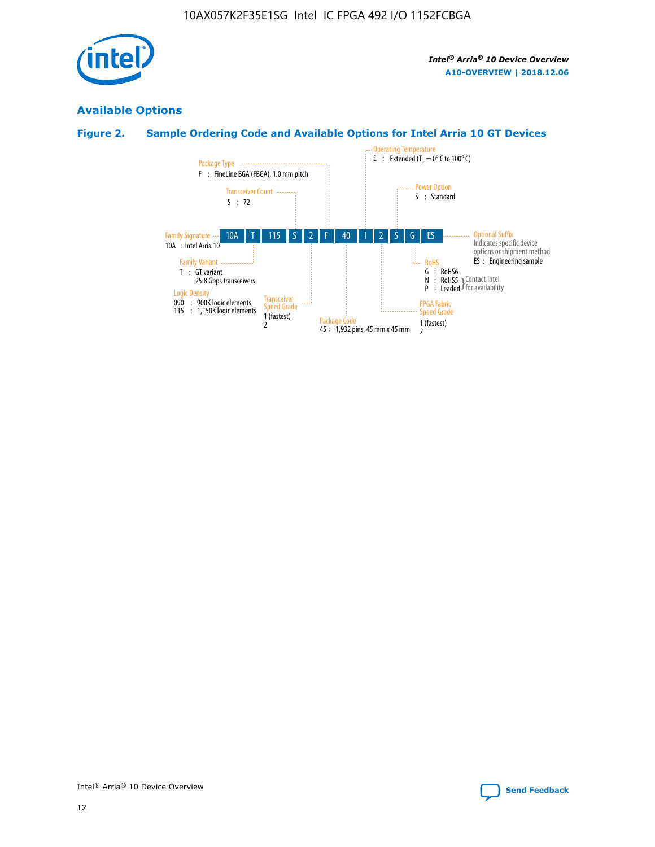

## **Available Options**

## **Figure 2. Sample Ordering Code and Available Options for Intel Arria 10 GT Devices**

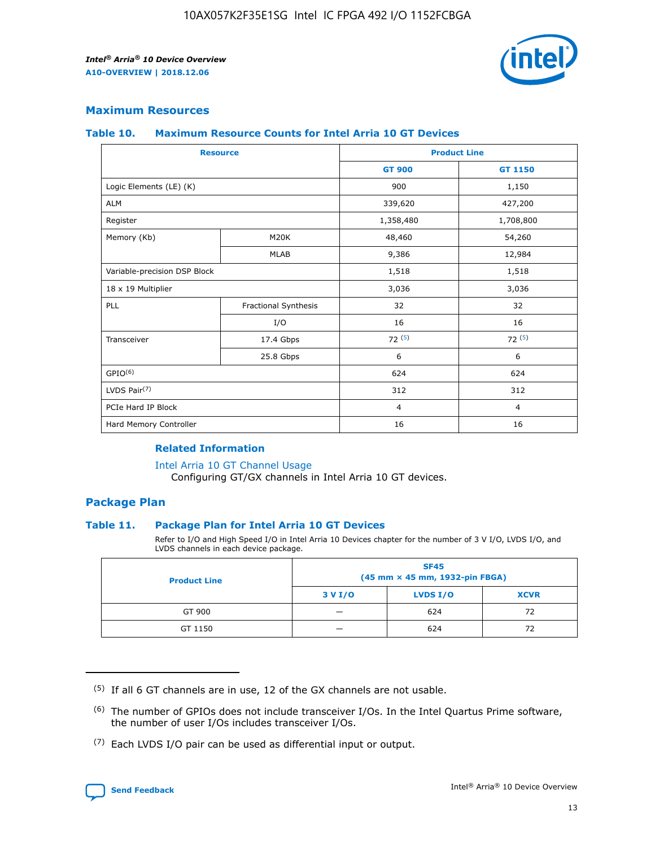

## **Maximum Resources**

#### **Table 10. Maximum Resource Counts for Intel Arria 10 GT Devices**

| <b>Resource</b>              |                      |                | <b>Product Line</b> |  |
|------------------------------|----------------------|----------------|---------------------|--|
|                              |                      | <b>GT 900</b>  | GT 1150             |  |
| Logic Elements (LE) (K)      |                      | 900            | 1,150               |  |
| <b>ALM</b>                   |                      | 339,620        | 427,200             |  |
| Register                     |                      | 1,358,480      | 1,708,800           |  |
| Memory (Kb)                  | M <sub>20</sub> K    | 48,460         | 54,260              |  |
|                              | <b>MLAB</b>          | 9,386          | 12,984              |  |
| Variable-precision DSP Block |                      | 1,518          | 1,518               |  |
| 18 x 19 Multiplier           |                      | 3,036          | 3,036               |  |
| PLL                          | Fractional Synthesis | 32             | 32                  |  |
|                              | I/O                  | 16             | 16                  |  |
| Transceiver                  | 17.4 Gbps            | 72(5)          | 72(5)               |  |
|                              | 25.8 Gbps            | 6              | 6                   |  |
| GPIO <sup>(6)</sup>          |                      | 624            | 624                 |  |
| LVDS Pair $(7)$              |                      | 312            | 312                 |  |
| PCIe Hard IP Block           |                      | $\overline{4}$ | $\overline{4}$      |  |
| Hard Memory Controller       |                      | 16             | 16                  |  |

#### **Related Information**

#### [Intel Arria 10 GT Channel Usage](https://www.intel.com/content/www/us/en/programmable/documentation/nik1398707230472.html#nik1398707008178)

Configuring GT/GX channels in Intel Arria 10 GT devices.

## **Package Plan**

#### **Table 11. Package Plan for Intel Arria 10 GT Devices**

Refer to I/O and High Speed I/O in Intel Arria 10 Devices chapter for the number of 3 V I/O, LVDS I/O, and LVDS channels in each device package.

| <b>Product Line</b> | <b>SF45</b><br>(45 mm × 45 mm, 1932-pin FBGA) |                 |             |  |  |  |
|---------------------|-----------------------------------------------|-----------------|-------------|--|--|--|
|                     | 3 V I/O                                       | <b>LVDS I/O</b> | <b>XCVR</b> |  |  |  |
| GT 900              |                                               | 624             | 72          |  |  |  |
| GT 1150             |                                               | 624             | 72          |  |  |  |

<sup>(7)</sup> Each LVDS I/O pair can be used as differential input or output.



 $(5)$  If all 6 GT channels are in use, 12 of the GX channels are not usable.

<sup>(6)</sup> The number of GPIOs does not include transceiver I/Os. In the Intel Quartus Prime software, the number of user I/Os includes transceiver I/Os.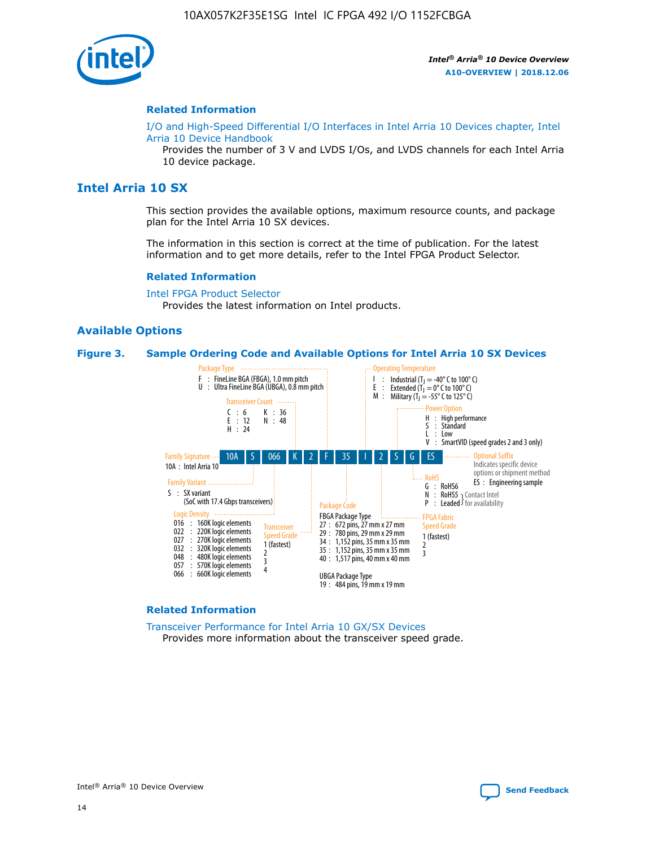

#### **Related Information**

[I/O and High-Speed Differential I/O Interfaces in Intel Arria 10 Devices chapter, Intel](https://www.intel.com/content/www/us/en/programmable/documentation/sam1403482614086.html#sam1403482030321) [Arria 10 Device Handbook](https://www.intel.com/content/www/us/en/programmable/documentation/sam1403482614086.html#sam1403482030321)

Provides the number of 3 V and LVDS I/Os, and LVDS channels for each Intel Arria 10 device package.

## **Intel Arria 10 SX**

This section provides the available options, maximum resource counts, and package plan for the Intel Arria 10 SX devices.

The information in this section is correct at the time of publication. For the latest information and to get more details, refer to the Intel FPGA Product Selector.

#### **Related Information**

[Intel FPGA Product Selector](http://www.altera.com/products/selector/psg-selector.html) Provides the latest information on Intel products.

#### **Available Options**

#### **Figure 3. Sample Ordering Code and Available Options for Intel Arria 10 SX Devices**



#### **Related Information**

[Transceiver Performance for Intel Arria 10 GX/SX Devices](https://www.intel.com/content/www/us/en/programmable/documentation/mcn1413182292568.html#mcn1413213965502) Provides more information about the transceiver speed grade.

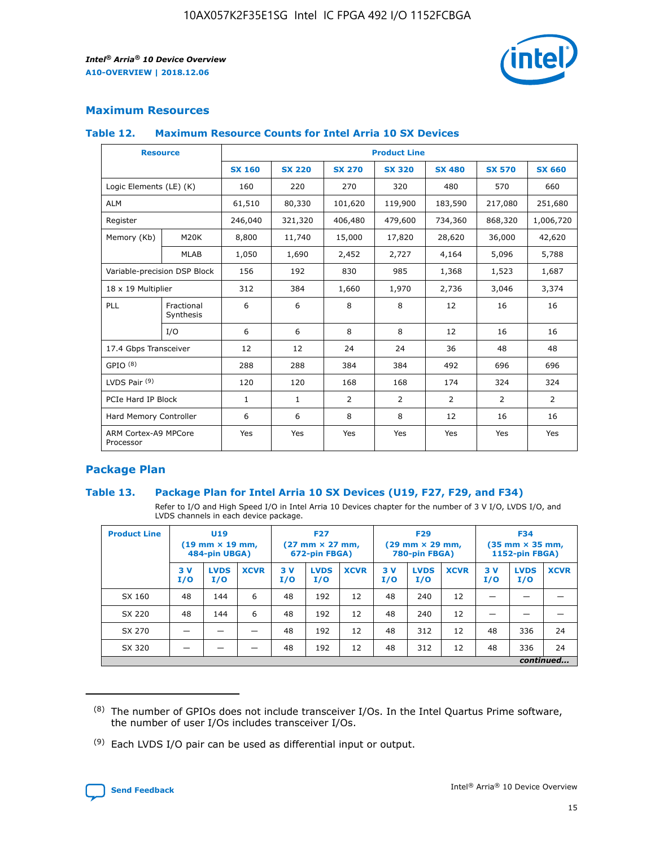

## **Maximum Resources**

#### **Table 12. Maximum Resource Counts for Intel Arria 10 SX Devices**

| <b>Resource</b>                   |                         | <b>Product Line</b> |               |                |                |                |                |                |  |  |  |
|-----------------------------------|-------------------------|---------------------|---------------|----------------|----------------|----------------|----------------|----------------|--|--|--|
|                                   |                         | <b>SX 160</b>       | <b>SX 220</b> | <b>SX 270</b>  | <b>SX 320</b>  | <b>SX 480</b>  | <b>SX 570</b>  | <b>SX 660</b>  |  |  |  |
| Logic Elements (LE) (K)           |                         | 160                 | 220           | 270            | 320            | 480            | 570            | 660            |  |  |  |
| <b>ALM</b>                        |                         | 61,510              | 80,330        | 101,620        | 119,900        | 183,590        | 217,080        | 251,680        |  |  |  |
| Register                          |                         | 246,040             | 321,320       | 406,480        | 479,600        | 734,360        | 868,320        | 1,006,720      |  |  |  |
| Memory (Kb)                       | M <sub>20</sub> K       | 8,800               | 11,740        | 15,000         | 17,820         | 28,620         | 36,000         | 42,620         |  |  |  |
|                                   | <b>MLAB</b>             | 1,050               | 1,690         | 2,452          | 2,727          | 4,164          | 5,096          | 5,788          |  |  |  |
| Variable-precision DSP Block      |                         | 156                 | 192           | 830            | 985            | 1,368          | 1,523          | 1,687          |  |  |  |
| 18 x 19 Multiplier                |                         | 312                 | 384           | 1,660          | 1,970          | 2,736          | 3,046          | 3,374          |  |  |  |
| PLL                               | Fractional<br>Synthesis | 6                   | 6             | 8              | 8              | 12             | 16             | 16             |  |  |  |
|                                   | I/O                     | 6                   | 6             | 8              | 8              | 12             | 16             | 16             |  |  |  |
| 17.4 Gbps Transceiver             |                         | 12                  | 12            | 24             | 24             | 36             | 48             | 48             |  |  |  |
| GPIO <sup>(8)</sup>               |                         | 288                 | 288           | 384            | 384            | 492            | 696            | 696            |  |  |  |
| LVDS Pair $(9)$                   |                         | 120                 | 120           | 168            | 168            | 174            | 324            | 324            |  |  |  |
| PCIe Hard IP Block                |                         | $\mathbf{1}$        | $\mathbf{1}$  | $\overline{2}$ | $\overline{2}$ | $\overline{2}$ | $\overline{2}$ | $\overline{2}$ |  |  |  |
| Hard Memory Controller            |                         | 6                   | 6             | 8              | 8              | 12             | 16             | 16             |  |  |  |
| ARM Cortex-A9 MPCore<br>Processor |                         | Yes                 | Yes           | Yes            | Yes            | Yes            | Yes            | <b>Yes</b>     |  |  |  |

## **Package Plan**

#### **Table 13. Package Plan for Intel Arria 10 SX Devices (U19, F27, F29, and F34)**

Refer to I/O and High Speed I/O in Intel Arria 10 Devices chapter for the number of 3 V I/O, LVDS I/O, and LVDS channels in each device package.

| <b>Product Line</b> | U19<br>$(19 \text{ mm} \times 19 \text{ mm})$<br>484-pin UBGA) |                    | <b>F27</b><br>$(27 \text{ mm} \times 27 \text{ mm})$<br>672-pin FBGA) |           | <b>F29</b><br>$(29 \text{ mm} \times 29 \text{ mm})$<br>780-pin FBGA) |             |            | <b>F34</b><br>$(35 \text{ mm} \times 35 \text{ mm})$<br><b>1152-pin FBGA)</b> |             |           |                    |             |
|---------------------|----------------------------------------------------------------|--------------------|-----------------------------------------------------------------------|-----------|-----------------------------------------------------------------------|-------------|------------|-------------------------------------------------------------------------------|-------------|-----------|--------------------|-------------|
|                     | 3V<br>I/O                                                      | <b>LVDS</b><br>I/O | <b>XCVR</b>                                                           | 3V<br>I/O | <b>LVDS</b><br>I/O                                                    | <b>XCVR</b> | 3 V<br>I/O | <b>LVDS</b><br>I/O                                                            | <b>XCVR</b> | 3V<br>I/O | <b>LVDS</b><br>I/O | <b>XCVR</b> |
| SX 160              | 48                                                             | 144                | 6                                                                     | 48        | 192                                                                   | 12          | 48         | 240                                                                           | 12          | –         |                    |             |
| SX 220              | 48                                                             | 144                | 6                                                                     | 48        | 192                                                                   | 12          | 48         | 240                                                                           | 12          |           |                    |             |
| SX 270              |                                                                |                    |                                                                       | 48        | 192                                                                   | 12          | 48         | 312                                                                           | 12          | 48        | 336                | 24          |
| SX 320              |                                                                |                    |                                                                       | 48        | 192                                                                   | 12          | 48         | 312                                                                           | 12          | 48        | 336                | 24          |
|                     | continued                                                      |                    |                                                                       |           |                                                                       |             |            |                                                                               |             |           |                    |             |

 $(8)$  The number of GPIOs does not include transceiver I/Os. In the Intel Quartus Prime software, the number of user I/Os includes transceiver I/Os.

 $(9)$  Each LVDS I/O pair can be used as differential input or output.

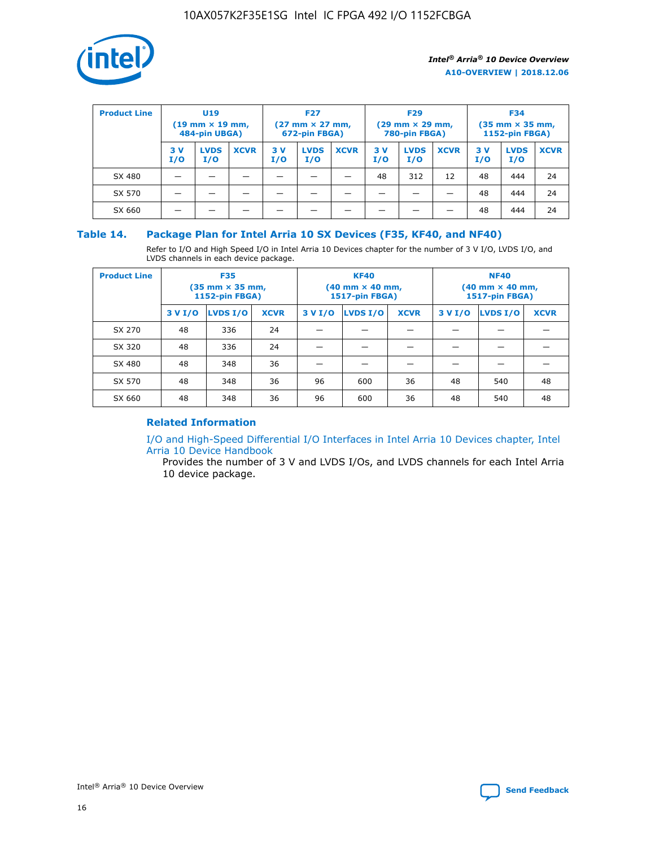

| <b>Product Line</b> | U <sub>19</sub><br>$(19 \text{ mm} \times 19 \text{ mm})$<br>484-pin UBGA) |                    | <b>F27</b><br>$(27 \text{ mm} \times 27 \text{ mm})$<br>672-pin FBGA) |           | <b>F29</b><br>$(29 \text{ mm} \times 29 \text{ mm})$<br>780-pin FBGA) |             |           | <b>F34</b><br>$(35$ mm $\times$ 35 mm,<br><b>1152-pin FBGA)</b> |             |           |                    |             |
|---------------------|----------------------------------------------------------------------------|--------------------|-----------------------------------------------------------------------|-----------|-----------------------------------------------------------------------|-------------|-----------|-----------------------------------------------------------------|-------------|-----------|--------------------|-------------|
|                     | 3V<br>I/O                                                                  | <b>LVDS</b><br>I/O | <b>XCVR</b>                                                           | 3V<br>I/O | <b>LVDS</b><br>I/O                                                    | <b>XCVR</b> | 3V<br>I/O | <b>LVDS</b><br>I/O                                              | <b>XCVR</b> | 3V<br>I/O | <b>LVDS</b><br>I/O | <b>XCVR</b> |
| SX 480              |                                                                            |                    |                                                                       |           |                                                                       |             | 48        | 312                                                             | 12          | 48        | 444                | 24          |
| SX 570              |                                                                            |                    |                                                                       |           |                                                                       |             |           |                                                                 |             | 48        | 444                | 24          |
| SX 660              |                                                                            |                    |                                                                       |           |                                                                       |             |           |                                                                 |             | 48        | 444                | 24          |

## **Table 14. Package Plan for Intel Arria 10 SX Devices (F35, KF40, and NF40)**

Refer to I/O and High Speed I/O in Intel Arria 10 Devices chapter for the number of 3 V I/O, LVDS I/O, and LVDS channels in each device package.

| <b>Product Line</b> | <b>F35</b><br>(35 mm × 35 mm,<br><b>1152-pin FBGA)</b> |          |             |                                           | <b>KF40</b><br>(40 mm × 40 mm,<br>1517-pin FBGA) |    | <b>NF40</b><br>$(40 \text{ mm} \times 40 \text{ mm})$<br>1517-pin FBGA) |          |             |  |
|---------------------|--------------------------------------------------------|----------|-------------|-------------------------------------------|--------------------------------------------------|----|-------------------------------------------------------------------------|----------|-------------|--|
|                     | 3 V I/O                                                | LVDS I/O | <b>XCVR</b> | <b>LVDS I/O</b><br>3 V I/O<br><b>XCVR</b> |                                                  |    | 3 V I/O                                                                 | LVDS I/O | <b>XCVR</b> |  |
| SX 270              | 48                                                     | 336      | 24          |                                           |                                                  |    |                                                                         |          |             |  |
| SX 320              | 48                                                     | 336      | 24          |                                           |                                                  |    |                                                                         |          |             |  |
| SX 480              | 48                                                     | 348      | 36          |                                           |                                                  |    |                                                                         |          |             |  |
| SX 570              | 48                                                     | 348      | 36          | 96                                        | 600                                              | 36 | 48                                                                      | 540      | 48          |  |
| SX 660              | 48                                                     | 348      | 36          | 96                                        | 600                                              | 36 | 48                                                                      | 540      | 48          |  |

## **Related Information**

[I/O and High-Speed Differential I/O Interfaces in Intel Arria 10 Devices chapter, Intel](https://www.intel.com/content/www/us/en/programmable/documentation/sam1403482614086.html#sam1403482030321) [Arria 10 Device Handbook](https://www.intel.com/content/www/us/en/programmable/documentation/sam1403482614086.html#sam1403482030321)

Provides the number of 3 V and LVDS I/Os, and LVDS channels for each Intel Arria 10 device package.

Intel<sup>®</sup> Arria<sup>®</sup> 10 Device Overview **[Send Feedback](mailto:FPGAtechdocfeedback@intel.com?subject=Feedback%20on%20Intel%20Arria%2010%20Device%20Overview%20(A10-OVERVIEW%202018.12.06)&body=We%20appreciate%20your%20feedback.%20In%20your%20comments,%20also%20specify%20the%20page%20number%20or%20paragraph.%20Thank%20you.)** Send Feedback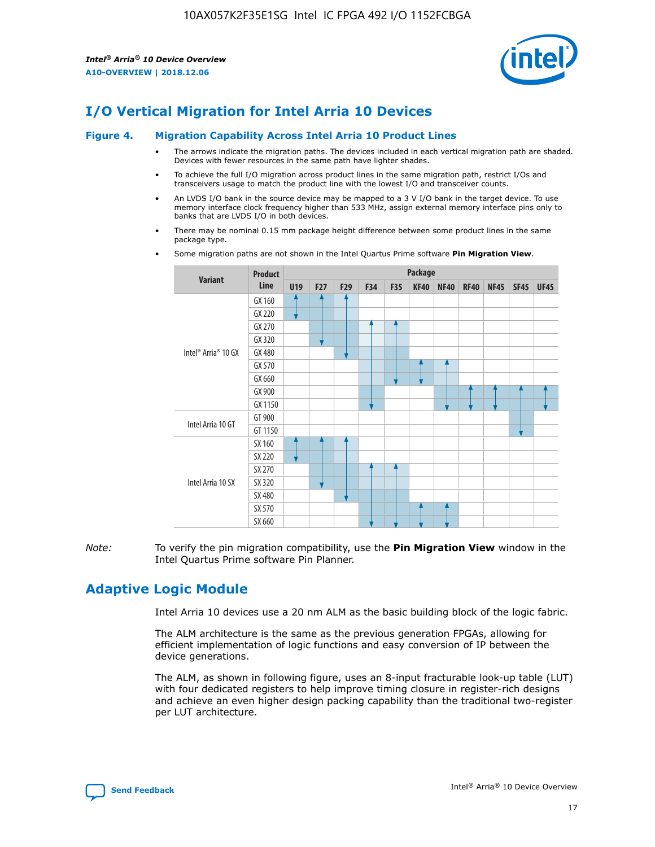

# **I/O Vertical Migration for Intel Arria 10 Devices**

#### **Figure 4. Migration Capability Across Intel Arria 10 Product Lines**

- The arrows indicate the migration paths. The devices included in each vertical migration path are shaded. Devices with fewer resources in the same path have lighter shades.
- To achieve the full I/O migration across product lines in the same migration path, restrict I/Os and transceivers usage to match the product line with the lowest I/O and transceiver counts.
- An LVDS I/O bank in the source device may be mapped to a 3 V I/O bank in the target device. To use memory interface clock frequency higher than 533 MHz, assign external memory interface pins only to banks that are LVDS I/O in both devices.
- There may be nominal 0.15 mm package height difference between some product lines in the same package type.
	- **Variant Product Line Package U19 F27 F29 F34 F35 KF40 NF40 RF40 NF45 SF45 UF45** Intel® Arria® 10 GX GX 160 GX 220 GX 270 GX 320 GX 480 GX 570 GX 660 GX 900 GX 1150 Intel Arria 10 GT GT 900 GT 1150 Intel Arria 10 SX SX 160 SX 220 SX 270 SX 320 SX 480 SX 570 SX 660
- Some migration paths are not shown in the Intel Quartus Prime software **Pin Migration View**.

*Note:* To verify the pin migration compatibility, use the **Pin Migration View** window in the Intel Quartus Prime software Pin Planner.

## **Adaptive Logic Module**

Intel Arria 10 devices use a 20 nm ALM as the basic building block of the logic fabric.

The ALM architecture is the same as the previous generation FPGAs, allowing for efficient implementation of logic functions and easy conversion of IP between the device generations.

The ALM, as shown in following figure, uses an 8-input fracturable look-up table (LUT) with four dedicated registers to help improve timing closure in register-rich designs and achieve an even higher design packing capability than the traditional two-register per LUT architecture.

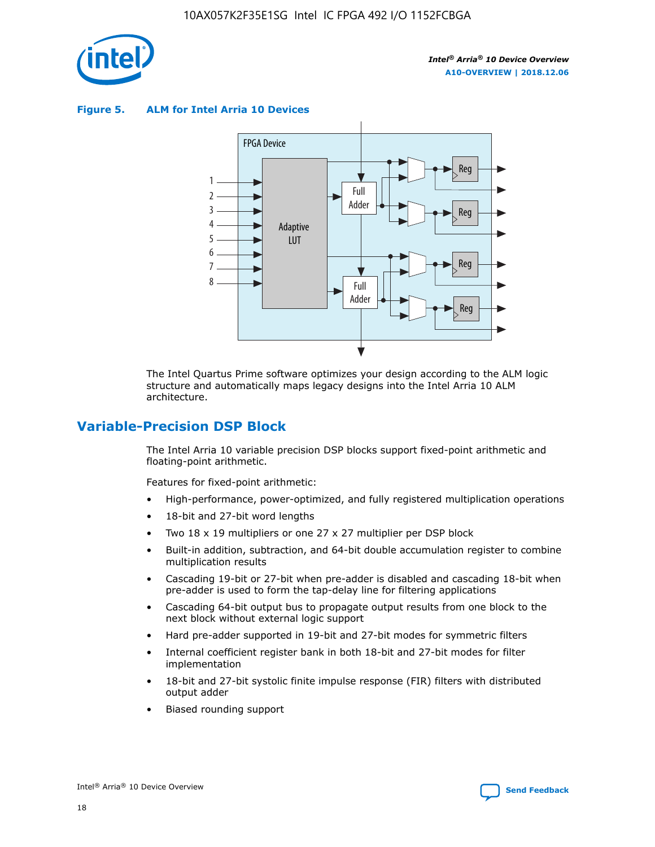

**Figure 5. ALM for Intel Arria 10 Devices**



The Intel Quartus Prime software optimizes your design according to the ALM logic structure and automatically maps legacy designs into the Intel Arria 10 ALM architecture.

## **Variable-Precision DSP Block**

The Intel Arria 10 variable precision DSP blocks support fixed-point arithmetic and floating-point arithmetic.

Features for fixed-point arithmetic:

- High-performance, power-optimized, and fully registered multiplication operations
- 18-bit and 27-bit word lengths
- Two 18 x 19 multipliers or one 27 x 27 multiplier per DSP block
- Built-in addition, subtraction, and 64-bit double accumulation register to combine multiplication results
- Cascading 19-bit or 27-bit when pre-adder is disabled and cascading 18-bit when pre-adder is used to form the tap-delay line for filtering applications
- Cascading 64-bit output bus to propagate output results from one block to the next block without external logic support
- Hard pre-adder supported in 19-bit and 27-bit modes for symmetric filters
- Internal coefficient register bank in both 18-bit and 27-bit modes for filter implementation
- 18-bit and 27-bit systolic finite impulse response (FIR) filters with distributed output adder
- Biased rounding support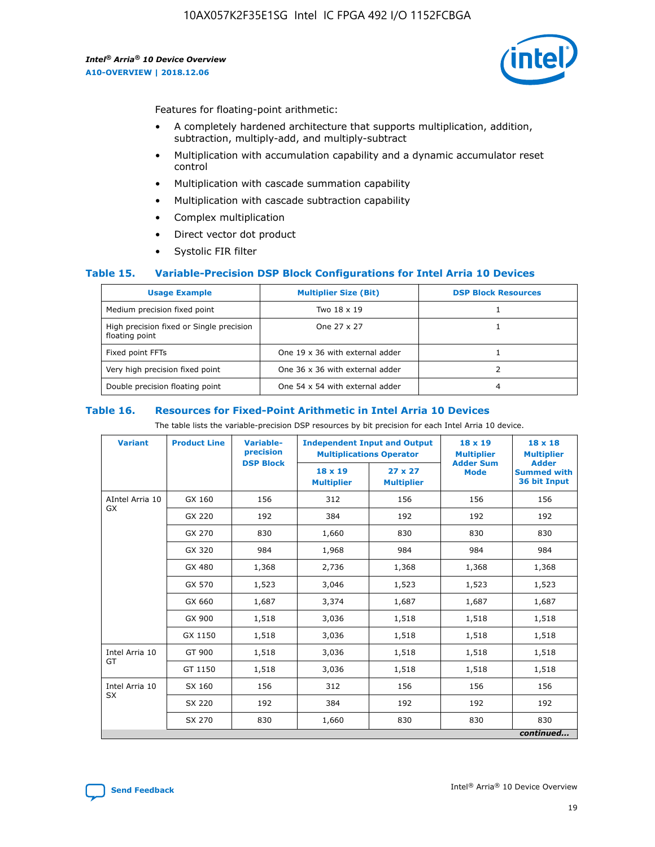

Features for floating-point arithmetic:

- A completely hardened architecture that supports multiplication, addition, subtraction, multiply-add, and multiply-subtract
- Multiplication with accumulation capability and a dynamic accumulator reset control
- Multiplication with cascade summation capability
- Multiplication with cascade subtraction capability
- Complex multiplication
- Direct vector dot product
- Systolic FIR filter

#### **Table 15. Variable-Precision DSP Block Configurations for Intel Arria 10 Devices**

| <b>Usage Example</b>                                       | <b>Multiplier Size (Bit)</b>    | <b>DSP Block Resources</b> |
|------------------------------------------------------------|---------------------------------|----------------------------|
| Medium precision fixed point                               | Two 18 x 19                     |                            |
| High precision fixed or Single precision<br>floating point | One 27 x 27                     |                            |
| Fixed point FFTs                                           | One 19 x 36 with external adder |                            |
| Very high precision fixed point                            | One 36 x 36 with external adder |                            |
| Double precision floating point                            | One 54 x 54 with external adder | 4                          |

#### **Table 16. Resources for Fixed-Point Arithmetic in Intel Arria 10 Devices**

The table lists the variable-precision DSP resources by bit precision for each Intel Arria 10 device.

| <b>Variant</b>        | <b>Product Line</b> | <b>Variable-</b><br>precision<br><b>DSP Block</b> | <b>Independent Input and Output</b><br><b>Multiplications Operator</b> |                                     | 18 x 19<br><b>Multiplier</b><br><b>Adder Sum</b> | $18 \times 18$<br><b>Multiplier</b><br><b>Adder</b> |
|-----------------------|---------------------|---------------------------------------------------|------------------------------------------------------------------------|-------------------------------------|--------------------------------------------------|-----------------------------------------------------|
|                       |                     |                                                   | 18 x 19<br><b>Multiplier</b>                                           | $27 \times 27$<br><b>Multiplier</b> | <b>Mode</b>                                      | <b>Summed with</b><br>36 bit Input                  |
| AIntel Arria 10<br>GX | GX 160              | 156                                               | 312                                                                    | 156                                 | 156                                              | 156                                                 |
|                       | GX 220              | 192                                               | 384                                                                    | 192                                 | 192                                              | 192                                                 |
|                       | GX 270              | 830                                               | 1,660                                                                  | 830                                 | 830                                              | 830                                                 |
|                       | GX 320              | 984                                               | 1,968                                                                  | 984                                 | 984                                              | 984                                                 |
|                       | GX 480              | 1,368                                             | 2,736                                                                  | 1,368                               | 1,368                                            | 1,368                                               |
|                       | GX 570              | 1,523                                             | 3,046                                                                  | 1,523                               | 1,523                                            | 1,523                                               |
|                       | GX 660              | 1,687                                             | 3,374                                                                  | 1,687                               | 1,687                                            | 1,687                                               |
|                       | GX 900              | 1,518                                             | 3,036                                                                  | 1,518                               | 1,518                                            | 1,518                                               |
|                       | GX 1150             | 1,518                                             | 3,036                                                                  | 1,518                               | 1,518                                            | 1,518                                               |
| Intel Arria 10        | GT 900              | 1,518                                             | 3,036                                                                  | 1,518                               | 1,518                                            | 1,518                                               |
| GT                    | GT 1150             | 1,518                                             | 3,036                                                                  | 1,518                               | 1,518                                            | 1,518                                               |
| Intel Arria 10        | SX 160              | 156                                               | 312                                                                    | 156                                 | 156                                              | 156                                                 |
| <b>SX</b>             | SX 220              | 192                                               | 384                                                                    | 192                                 | 192                                              | 192                                                 |
|                       | SX 270              | 830                                               | 1,660                                                                  | 830                                 | 830                                              | 830                                                 |
|                       |                     |                                                   |                                                                        |                                     |                                                  | continued                                           |

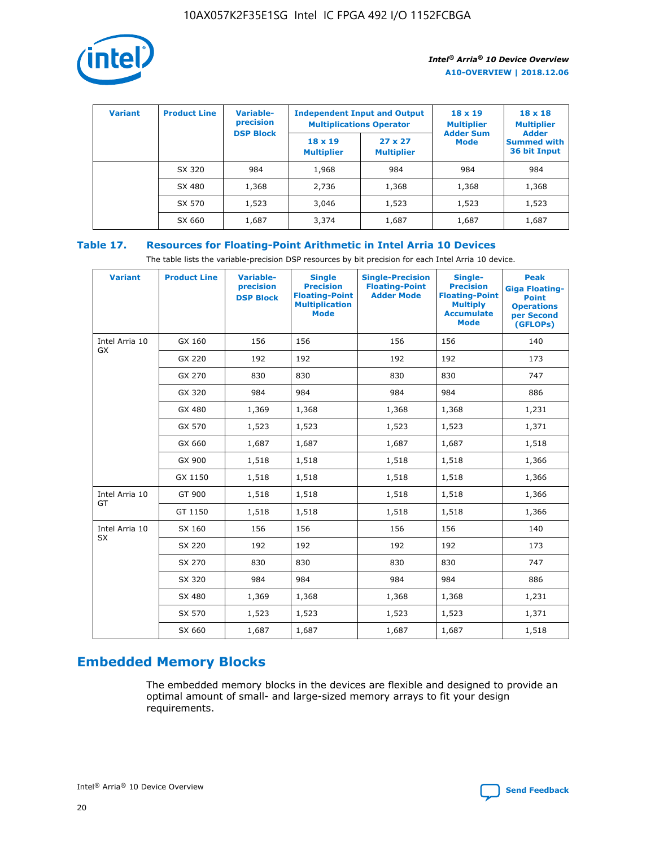

| <b>Variant</b> | <b>Product Line</b> | <b>Variable-</b><br>precision<br><b>DSP Block</b> | <b>Independent Input and Output</b><br><b>Multiplications Operator</b> |                                     | $18 \times 19$<br><b>Multiplier</b><br><b>Adder Sum</b> | $18 \times 18$<br><b>Multiplier</b><br><b>Adder</b> |  |
|----------------|---------------------|---------------------------------------------------|------------------------------------------------------------------------|-------------------------------------|---------------------------------------------------------|-----------------------------------------------------|--|
|                |                     |                                                   | $18 \times 19$<br><b>Multiplier</b>                                    | $27 \times 27$<br><b>Multiplier</b> | <b>Mode</b>                                             | <b>Summed with</b><br>36 bit Input                  |  |
|                | SX 320              | 984                                               | 1,968                                                                  | 984                                 | 984                                                     | 984                                                 |  |
|                | SX 480              | 1,368                                             | 2,736                                                                  | 1,368                               | 1,368                                                   | 1,368                                               |  |
|                | SX 570              | 1,523                                             | 3,046                                                                  | 1,523                               | 1,523                                                   | 1,523                                               |  |
|                | SX 660              | 1,687                                             | 3,374                                                                  | 1,687                               | 1,687                                                   | 1,687                                               |  |

## **Table 17. Resources for Floating-Point Arithmetic in Intel Arria 10 Devices**

The table lists the variable-precision DSP resources by bit precision for each Intel Arria 10 device.

| <b>Variant</b> | <b>Product Line</b> | <b>Variable-</b><br>precision<br><b>DSP Block</b> | <b>Single</b><br><b>Precision</b><br><b>Floating-Point</b><br><b>Multiplication</b><br><b>Mode</b> | <b>Single-Precision</b><br><b>Floating-Point</b><br><b>Adder Mode</b> | Single-<br><b>Precision</b><br><b>Floating-Point</b><br><b>Multiply</b><br><b>Accumulate</b><br><b>Mode</b> | <b>Peak</b><br><b>Giga Floating-</b><br><b>Point</b><br><b>Operations</b><br>per Second<br>(GFLOPs) |
|----------------|---------------------|---------------------------------------------------|----------------------------------------------------------------------------------------------------|-----------------------------------------------------------------------|-------------------------------------------------------------------------------------------------------------|-----------------------------------------------------------------------------------------------------|
| Intel Arria 10 | GX 160              | 156                                               | 156                                                                                                | 156                                                                   | 156                                                                                                         | 140                                                                                                 |
| GX             | GX 220              | 192                                               | 192                                                                                                | 192                                                                   | 192                                                                                                         | 173                                                                                                 |
|                | GX 270              | 830                                               | 830                                                                                                | 830                                                                   | 830                                                                                                         | 747                                                                                                 |
|                | GX 320              | 984                                               | 984                                                                                                | 984                                                                   | 984                                                                                                         | 886                                                                                                 |
|                | GX 480              | 1,369                                             | 1,368                                                                                              | 1,368                                                                 | 1,368                                                                                                       | 1,231                                                                                               |
|                | GX 570              | 1,523                                             | 1,523                                                                                              | 1,523                                                                 | 1,523                                                                                                       | 1,371                                                                                               |
|                | GX 660              | 1,687                                             | 1,687                                                                                              | 1,687                                                                 | 1,687                                                                                                       | 1,518                                                                                               |
|                | GX 900              | 1,518                                             | 1,518                                                                                              | 1,518                                                                 | 1,518                                                                                                       | 1,366                                                                                               |
|                | GX 1150             | 1,518                                             | 1,518                                                                                              | 1,518                                                                 | 1,518                                                                                                       | 1,366                                                                                               |
| Intel Arria 10 | GT 900              | 1,518                                             | 1,518                                                                                              | 1,518                                                                 | 1,518                                                                                                       | 1,366                                                                                               |
| GT             | GT 1150             | 1,518                                             | 1,518                                                                                              | 1,518                                                                 | 1,518                                                                                                       | 1,366                                                                                               |
| Intel Arria 10 | SX 160              | 156                                               | 156                                                                                                | 156                                                                   | 156                                                                                                         | 140                                                                                                 |
| SX             | SX 220              | 192                                               | 192                                                                                                | 192                                                                   | 192                                                                                                         | 173                                                                                                 |
|                | SX 270              | 830                                               | 830                                                                                                | 830                                                                   | 830                                                                                                         | 747                                                                                                 |
|                | SX 320              | 984                                               | 984                                                                                                | 984                                                                   | 984                                                                                                         | 886                                                                                                 |
|                | SX 480              | 1,369                                             | 1,368                                                                                              | 1,368                                                                 | 1,368                                                                                                       | 1,231                                                                                               |
|                | SX 570              | 1,523                                             | 1,523                                                                                              | 1,523                                                                 | 1,523                                                                                                       | 1,371                                                                                               |
|                | SX 660              | 1,687                                             | 1,687                                                                                              | 1,687                                                                 | 1,687                                                                                                       | 1,518                                                                                               |

# **Embedded Memory Blocks**

The embedded memory blocks in the devices are flexible and designed to provide an optimal amount of small- and large-sized memory arrays to fit your design requirements.

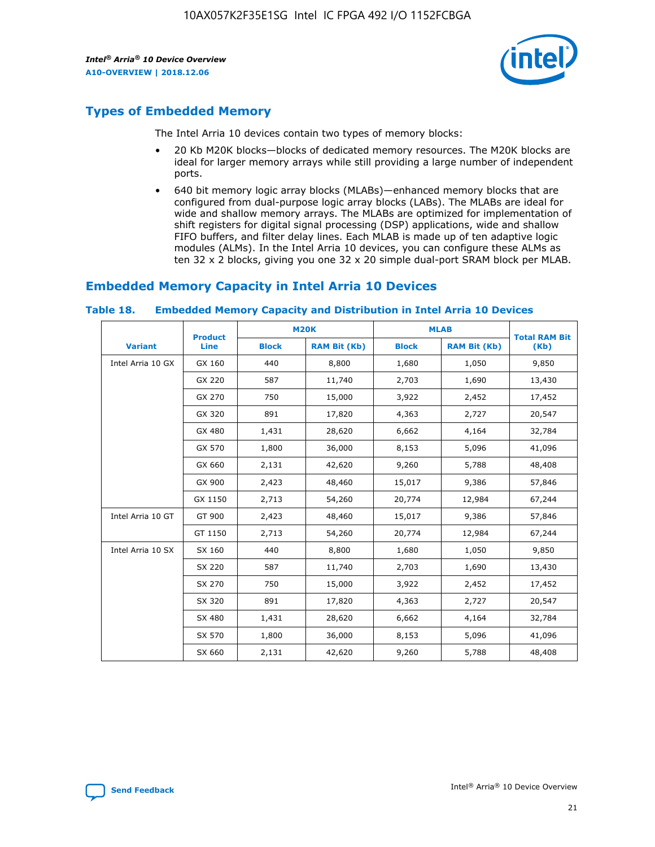

## **Types of Embedded Memory**

The Intel Arria 10 devices contain two types of memory blocks:

- 20 Kb M20K blocks—blocks of dedicated memory resources. The M20K blocks are ideal for larger memory arrays while still providing a large number of independent ports.
- 640 bit memory logic array blocks (MLABs)—enhanced memory blocks that are configured from dual-purpose logic array blocks (LABs). The MLABs are ideal for wide and shallow memory arrays. The MLABs are optimized for implementation of shift registers for digital signal processing (DSP) applications, wide and shallow FIFO buffers, and filter delay lines. Each MLAB is made up of ten adaptive logic modules (ALMs). In the Intel Arria 10 devices, you can configure these ALMs as ten 32 x 2 blocks, giving you one 32 x 20 simple dual-port SRAM block per MLAB.

## **Embedded Memory Capacity in Intel Arria 10 Devices**

|                   | <b>Product</b> |              | <b>M20K</b>         | <b>MLAB</b>  |                     | <b>Total RAM Bit</b> |
|-------------------|----------------|--------------|---------------------|--------------|---------------------|----------------------|
| <b>Variant</b>    | <b>Line</b>    | <b>Block</b> | <b>RAM Bit (Kb)</b> | <b>Block</b> | <b>RAM Bit (Kb)</b> | (Kb)                 |
| Intel Arria 10 GX | GX 160         | 440          | 8,800               | 1,680        | 1,050               | 9,850                |
|                   | GX 220         | 587          | 11,740              | 2,703        | 1,690               | 13,430               |
|                   | GX 270         | 750          | 15,000              | 3,922        | 2,452               | 17,452               |
|                   | GX 320         | 891          | 17,820              | 4,363        | 2,727               | 20,547               |
|                   | GX 480         | 1,431        | 28,620              | 6,662        | 4,164               | 32,784               |
|                   | GX 570         | 1,800        | 36,000              | 8,153        | 5,096               | 41,096               |
|                   | GX 660         | 2,131        | 42,620              | 9,260        | 5,788               | 48,408               |
|                   | GX 900         | 2,423        | 48,460              | 15,017       | 9,386               | 57,846               |
|                   | GX 1150        | 2,713        | 54,260              | 20,774       | 12,984              | 67,244               |
| Intel Arria 10 GT | GT 900         | 2,423        | 48,460              | 15,017       | 9,386               | 57,846               |
|                   | GT 1150        | 2,713        | 54,260              | 20,774       | 12,984              | 67,244               |
| Intel Arria 10 SX | SX 160         | 440          | 8,800               | 1,680        | 1,050               | 9,850                |
|                   | SX 220         | 587          | 11,740              | 2,703        | 1,690               | 13,430               |
|                   | SX 270         | 750          | 15,000              | 3,922        | 2,452               | 17,452               |
|                   | SX 320         | 891          | 17,820              | 4,363        | 2,727               | 20,547               |
|                   | SX 480         | 1,431        | 28,620              | 6,662        | 4,164               | 32,784               |
|                   | SX 570         | 1,800        | 36,000              | 8,153        | 5,096               | 41,096               |
|                   | SX 660         | 2,131        | 42,620              | 9,260        | 5,788               | 48,408               |

#### **Table 18. Embedded Memory Capacity and Distribution in Intel Arria 10 Devices**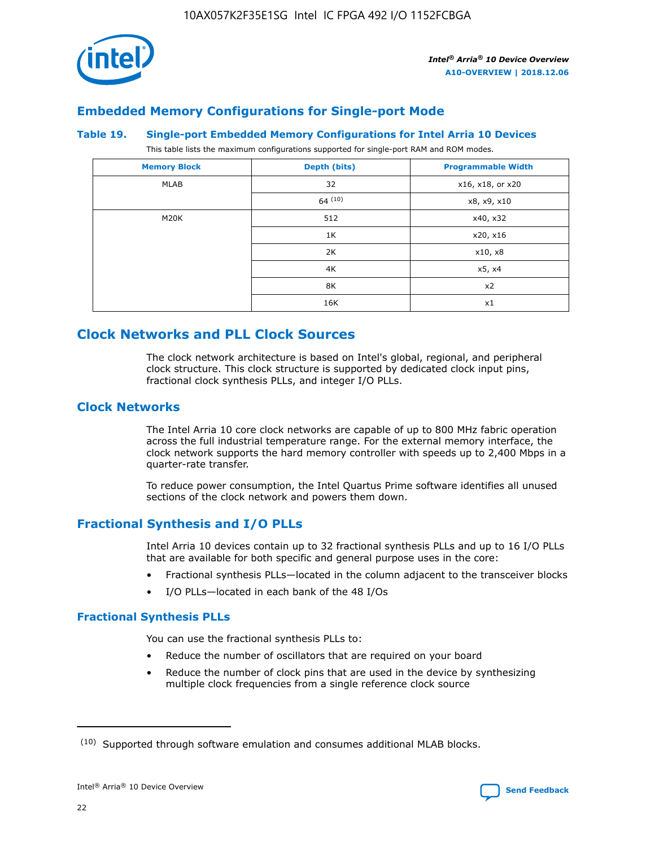

## **Embedded Memory Configurations for Single-port Mode**

#### **Table 19. Single-port Embedded Memory Configurations for Intel Arria 10 Devices**

This table lists the maximum configurations supported for single-port RAM and ROM modes.

| <b>Memory Block</b> | Depth (bits)           | <b>Programmable Width</b> |
|---------------------|------------------------|---------------------------|
| MLAB                | 32<br>x16, x18, or x20 |                           |
|                     | 64(10)                 | x8, x9, x10               |
| M20K                | 512                    | x40, x32                  |
|                     | 1K                     | x20, x16                  |
|                     | 2K                     | x10, x8                   |
|                     | 4K                     | x5, x4                    |
|                     | 8K                     | x2                        |
|                     | 16K                    | x1                        |

## **Clock Networks and PLL Clock Sources**

The clock network architecture is based on Intel's global, regional, and peripheral clock structure. This clock structure is supported by dedicated clock input pins, fractional clock synthesis PLLs, and integer I/O PLLs.

## **Clock Networks**

The Intel Arria 10 core clock networks are capable of up to 800 MHz fabric operation across the full industrial temperature range. For the external memory interface, the clock network supports the hard memory controller with speeds up to 2,400 Mbps in a quarter-rate transfer.

To reduce power consumption, the Intel Quartus Prime software identifies all unused sections of the clock network and powers them down.

## **Fractional Synthesis and I/O PLLs**

Intel Arria 10 devices contain up to 32 fractional synthesis PLLs and up to 16 I/O PLLs that are available for both specific and general purpose uses in the core:

- Fractional synthesis PLLs—located in the column adjacent to the transceiver blocks
- I/O PLLs—located in each bank of the 48 I/Os

## **Fractional Synthesis PLLs**

You can use the fractional synthesis PLLs to:

- Reduce the number of oscillators that are required on your board
- Reduce the number of clock pins that are used in the device by synthesizing multiple clock frequencies from a single reference clock source

<sup>(10)</sup> Supported through software emulation and consumes additional MLAB blocks.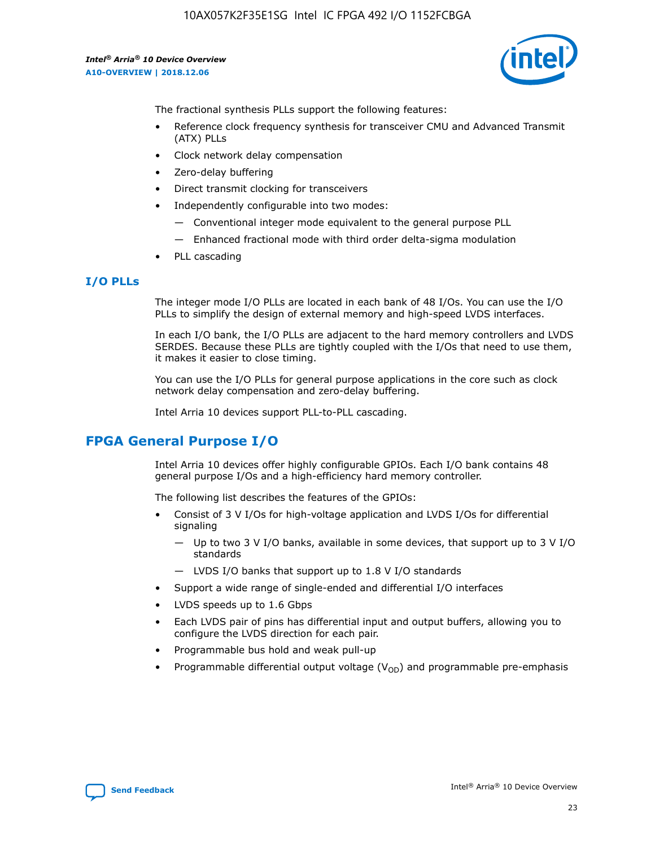10AX057K2F35E1SG Intel IC FPGA 492 I/O 1152FCBGA

*Intel® Arria® 10 Device Overview* **A10-OVERVIEW | 2018.12.06**



The fractional synthesis PLLs support the following features:

- Reference clock frequency synthesis for transceiver CMU and Advanced Transmit (ATX) PLLs
- Clock network delay compensation
- Zero-delay buffering
- Direct transmit clocking for transceivers
- Independently configurable into two modes:
	- Conventional integer mode equivalent to the general purpose PLL
	- Enhanced fractional mode with third order delta-sigma modulation
- PLL cascading

#### **I/O PLLs**

The integer mode I/O PLLs are located in each bank of 48 I/Os. You can use the I/O PLLs to simplify the design of external memory and high-speed LVDS interfaces.

In each I/O bank, the I/O PLLs are adjacent to the hard memory controllers and LVDS SERDES. Because these PLLs are tightly coupled with the I/Os that need to use them, it makes it easier to close timing.

You can use the I/O PLLs for general purpose applications in the core such as clock network delay compensation and zero-delay buffering.

Intel Arria 10 devices support PLL-to-PLL cascading.

## **FPGA General Purpose I/O**

Intel Arria 10 devices offer highly configurable GPIOs. Each I/O bank contains 48 general purpose I/Os and a high-efficiency hard memory controller.

The following list describes the features of the GPIOs:

- Consist of 3 V I/Os for high-voltage application and LVDS I/Os for differential signaling
	- Up to two 3 V I/O banks, available in some devices, that support up to 3 V I/O standards
	- LVDS I/O banks that support up to 1.8 V I/O standards
- Support a wide range of single-ended and differential I/O interfaces
- LVDS speeds up to 1.6 Gbps
- Each LVDS pair of pins has differential input and output buffers, allowing you to configure the LVDS direction for each pair.
- Programmable bus hold and weak pull-up
- Programmable differential output voltage  $(V_{OD})$  and programmable pre-emphasis

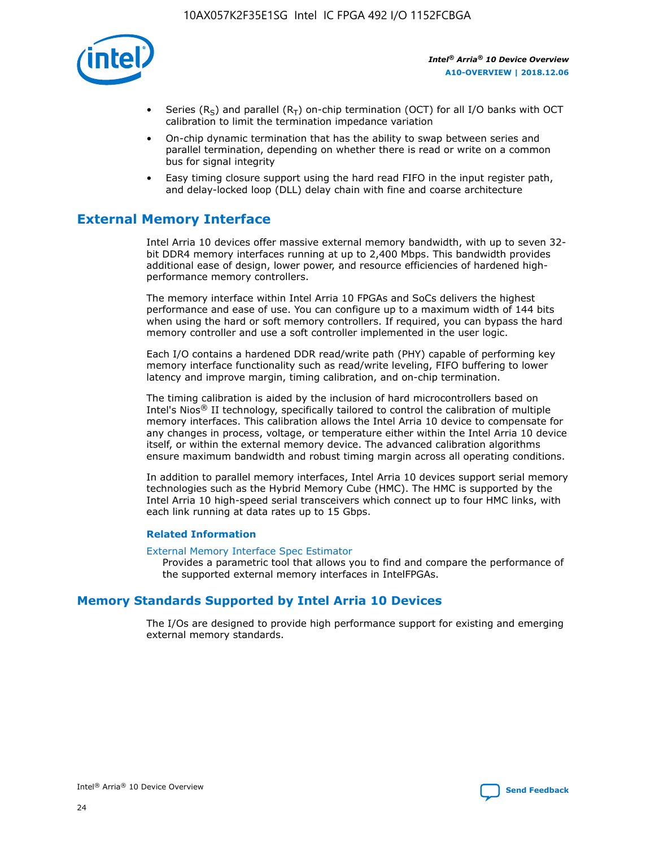

- Series (R<sub>S</sub>) and parallel (R<sub>T</sub>) on-chip termination (OCT) for all I/O banks with OCT calibration to limit the termination impedance variation
- On-chip dynamic termination that has the ability to swap between series and parallel termination, depending on whether there is read or write on a common bus for signal integrity
- Easy timing closure support using the hard read FIFO in the input register path, and delay-locked loop (DLL) delay chain with fine and coarse architecture

## **External Memory Interface**

Intel Arria 10 devices offer massive external memory bandwidth, with up to seven 32 bit DDR4 memory interfaces running at up to 2,400 Mbps. This bandwidth provides additional ease of design, lower power, and resource efficiencies of hardened highperformance memory controllers.

The memory interface within Intel Arria 10 FPGAs and SoCs delivers the highest performance and ease of use. You can configure up to a maximum width of 144 bits when using the hard or soft memory controllers. If required, you can bypass the hard memory controller and use a soft controller implemented in the user logic.

Each I/O contains a hardened DDR read/write path (PHY) capable of performing key memory interface functionality such as read/write leveling, FIFO buffering to lower latency and improve margin, timing calibration, and on-chip termination.

The timing calibration is aided by the inclusion of hard microcontrollers based on Intel's Nios® II technology, specifically tailored to control the calibration of multiple memory interfaces. This calibration allows the Intel Arria 10 device to compensate for any changes in process, voltage, or temperature either within the Intel Arria 10 device itself, or within the external memory device. The advanced calibration algorithms ensure maximum bandwidth and robust timing margin across all operating conditions.

In addition to parallel memory interfaces, Intel Arria 10 devices support serial memory technologies such as the Hybrid Memory Cube (HMC). The HMC is supported by the Intel Arria 10 high-speed serial transceivers which connect up to four HMC links, with each link running at data rates up to 15 Gbps.

#### **Related Information**

#### [External Memory Interface Spec Estimator](http://www.altera.com/technology/memory/estimator/mem-emif-index.html)

Provides a parametric tool that allows you to find and compare the performance of the supported external memory interfaces in IntelFPGAs.

## **Memory Standards Supported by Intel Arria 10 Devices**

The I/Os are designed to provide high performance support for existing and emerging external memory standards.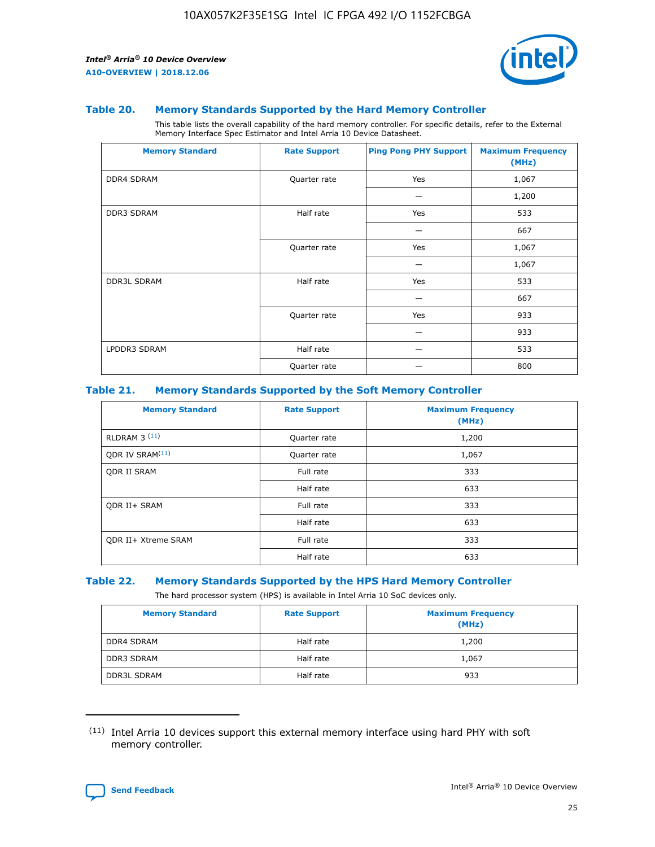

#### **Table 20. Memory Standards Supported by the Hard Memory Controller**

This table lists the overall capability of the hard memory controller. For specific details, refer to the External Memory Interface Spec Estimator and Intel Arria 10 Device Datasheet.

| <b>Memory Standard</b> | <b>Rate Support</b> | <b>Ping Pong PHY Support</b> | <b>Maximum Frequency</b><br>(MHz) |
|------------------------|---------------------|------------------------------|-----------------------------------|
| <b>DDR4 SDRAM</b>      | Quarter rate        | Yes                          | 1,067                             |
|                        |                     |                              | 1,200                             |
| DDR3 SDRAM             | Half rate           | Yes                          | 533                               |
|                        |                     |                              | 667                               |
|                        | Quarter rate        | Yes                          | 1,067                             |
|                        |                     |                              | 1,067                             |
| <b>DDR3L SDRAM</b>     | Half rate           | Yes                          | 533                               |
|                        |                     |                              | 667                               |
|                        | Quarter rate        | Yes                          | 933                               |
|                        |                     |                              | 933                               |
| LPDDR3 SDRAM           | Half rate           |                              | 533                               |
|                        | Quarter rate        |                              | 800                               |

#### **Table 21. Memory Standards Supported by the Soft Memory Controller**

| <b>Memory Standard</b>      | <b>Rate Support</b> | <b>Maximum Frequency</b><br>(MHz) |
|-----------------------------|---------------------|-----------------------------------|
| <b>RLDRAM 3 (11)</b>        | Quarter rate        | 1,200                             |
| ODR IV SRAM <sup>(11)</sup> | Quarter rate        | 1,067                             |
| <b>ODR II SRAM</b>          | Full rate           | 333                               |
|                             | Half rate           | 633                               |
| <b>ODR II+ SRAM</b>         | Full rate           | 333                               |
|                             | Half rate           | 633                               |
| <b>ODR II+ Xtreme SRAM</b>  | Full rate           | 333                               |
|                             | Half rate           | 633                               |

#### **Table 22. Memory Standards Supported by the HPS Hard Memory Controller**

The hard processor system (HPS) is available in Intel Arria 10 SoC devices only.

| <b>Memory Standard</b> | <b>Rate Support</b> | <b>Maximum Frequency</b><br>(MHz) |
|------------------------|---------------------|-----------------------------------|
| <b>DDR4 SDRAM</b>      | Half rate           | 1,200                             |
| <b>DDR3 SDRAM</b>      | Half rate           | 1,067                             |
| <b>DDR3L SDRAM</b>     | Half rate           | 933                               |

<sup>(11)</sup> Intel Arria 10 devices support this external memory interface using hard PHY with soft memory controller.

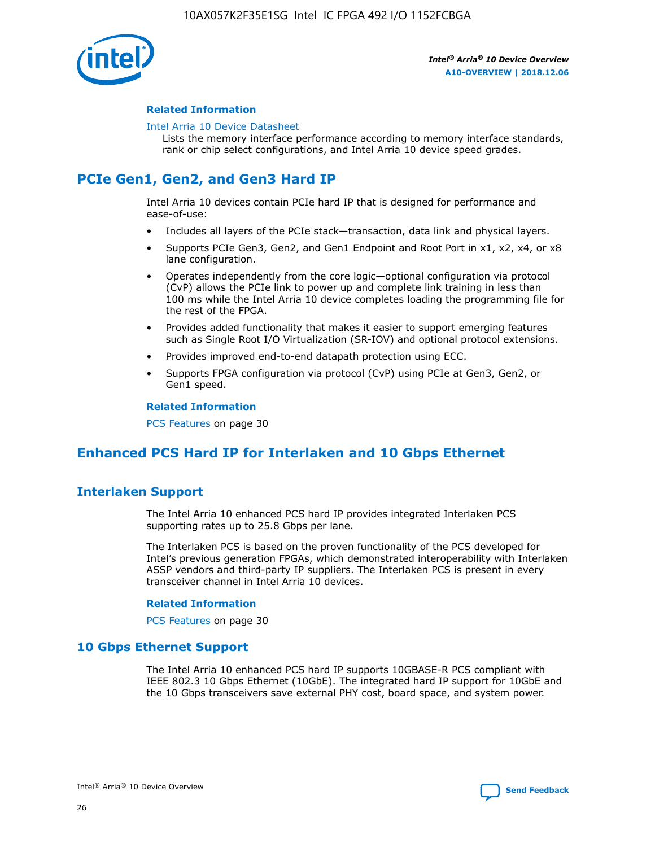

#### **Related Information**

#### [Intel Arria 10 Device Datasheet](https://www.intel.com/content/www/us/en/programmable/documentation/mcn1413182292568.html#mcn1413182153340)

Lists the memory interface performance according to memory interface standards, rank or chip select configurations, and Intel Arria 10 device speed grades.

# **PCIe Gen1, Gen2, and Gen3 Hard IP**

Intel Arria 10 devices contain PCIe hard IP that is designed for performance and ease-of-use:

- Includes all layers of the PCIe stack—transaction, data link and physical layers.
- Supports PCIe Gen3, Gen2, and Gen1 Endpoint and Root Port in x1, x2, x4, or x8 lane configuration.
- Operates independently from the core logic—optional configuration via protocol (CvP) allows the PCIe link to power up and complete link training in less than 100 ms while the Intel Arria 10 device completes loading the programming file for the rest of the FPGA.
- Provides added functionality that makes it easier to support emerging features such as Single Root I/O Virtualization (SR-IOV) and optional protocol extensions.
- Provides improved end-to-end datapath protection using ECC.
- Supports FPGA configuration via protocol (CvP) using PCIe at Gen3, Gen2, or Gen1 speed.

#### **Related Information**

PCS Features on page 30

## **Enhanced PCS Hard IP for Interlaken and 10 Gbps Ethernet**

## **Interlaken Support**

The Intel Arria 10 enhanced PCS hard IP provides integrated Interlaken PCS supporting rates up to 25.8 Gbps per lane.

The Interlaken PCS is based on the proven functionality of the PCS developed for Intel's previous generation FPGAs, which demonstrated interoperability with Interlaken ASSP vendors and third-party IP suppliers. The Interlaken PCS is present in every transceiver channel in Intel Arria 10 devices.

#### **Related Information**

PCS Features on page 30

## **10 Gbps Ethernet Support**

The Intel Arria 10 enhanced PCS hard IP supports 10GBASE-R PCS compliant with IEEE 802.3 10 Gbps Ethernet (10GbE). The integrated hard IP support for 10GbE and the 10 Gbps transceivers save external PHY cost, board space, and system power.

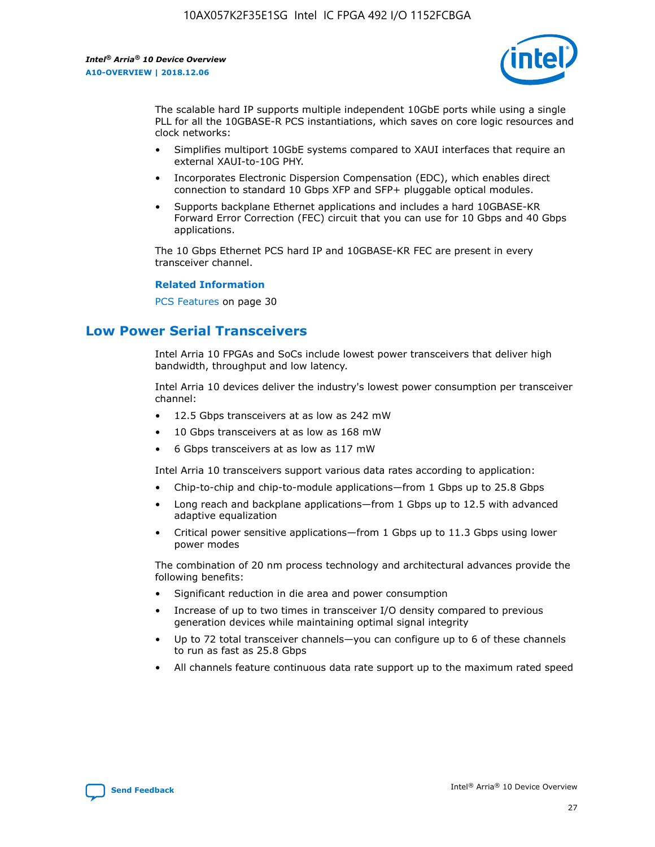

The scalable hard IP supports multiple independent 10GbE ports while using a single PLL for all the 10GBASE-R PCS instantiations, which saves on core logic resources and clock networks:

- Simplifies multiport 10GbE systems compared to XAUI interfaces that require an external XAUI-to-10G PHY.
- Incorporates Electronic Dispersion Compensation (EDC), which enables direct connection to standard 10 Gbps XFP and SFP+ pluggable optical modules.
- Supports backplane Ethernet applications and includes a hard 10GBASE-KR Forward Error Correction (FEC) circuit that you can use for 10 Gbps and 40 Gbps applications.

The 10 Gbps Ethernet PCS hard IP and 10GBASE-KR FEC are present in every transceiver channel.

#### **Related Information**

PCS Features on page 30

## **Low Power Serial Transceivers**

Intel Arria 10 FPGAs and SoCs include lowest power transceivers that deliver high bandwidth, throughput and low latency.

Intel Arria 10 devices deliver the industry's lowest power consumption per transceiver channel:

- 12.5 Gbps transceivers at as low as 242 mW
- 10 Gbps transceivers at as low as 168 mW
- 6 Gbps transceivers at as low as 117 mW

Intel Arria 10 transceivers support various data rates according to application:

- Chip-to-chip and chip-to-module applications—from 1 Gbps up to 25.8 Gbps
- Long reach and backplane applications—from 1 Gbps up to 12.5 with advanced adaptive equalization
- Critical power sensitive applications—from 1 Gbps up to 11.3 Gbps using lower power modes

The combination of 20 nm process technology and architectural advances provide the following benefits:

- Significant reduction in die area and power consumption
- Increase of up to two times in transceiver I/O density compared to previous generation devices while maintaining optimal signal integrity
- Up to 72 total transceiver channels—you can configure up to 6 of these channels to run as fast as 25.8 Gbps
- All channels feature continuous data rate support up to the maximum rated speed

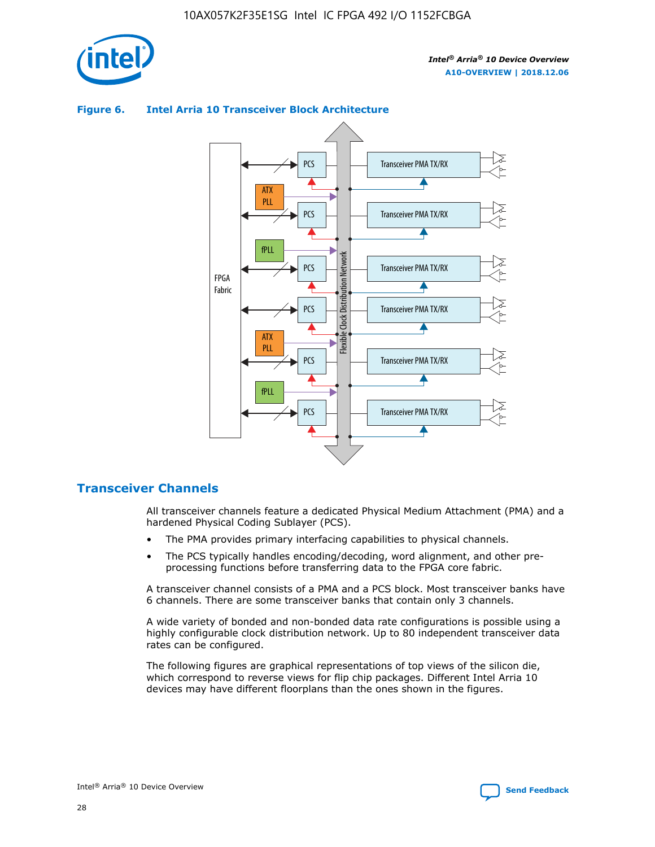



## **Figure 6. Intel Arria 10 Transceiver Block Architecture**

## **Transceiver Channels**

All transceiver channels feature a dedicated Physical Medium Attachment (PMA) and a hardened Physical Coding Sublayer (PCS).

- The PMA provides primary interfacing capabilities to physical channels.
- The PCS typically handles encoding/decoding, word alignment, and other preprocessing functions before transferring data to the FPGA core fabric.

A transceiver channel consists of a PMA and a PCS block. Most transceiver banks have 6 channels. There are some transceiver banks that contain only 3 channels.

A wide variety of bonded and non-bonded data rate configurations is possible using a highly configurable clock distribution network. Up to 80 independent transceiver data rates can be configured.

The following figures are graphical representations of top views of the silicon die, which correspond to reverse views for flip chip packages. Different Intel Arria 10 devices may have different floorplans than the ones shown in the figures.

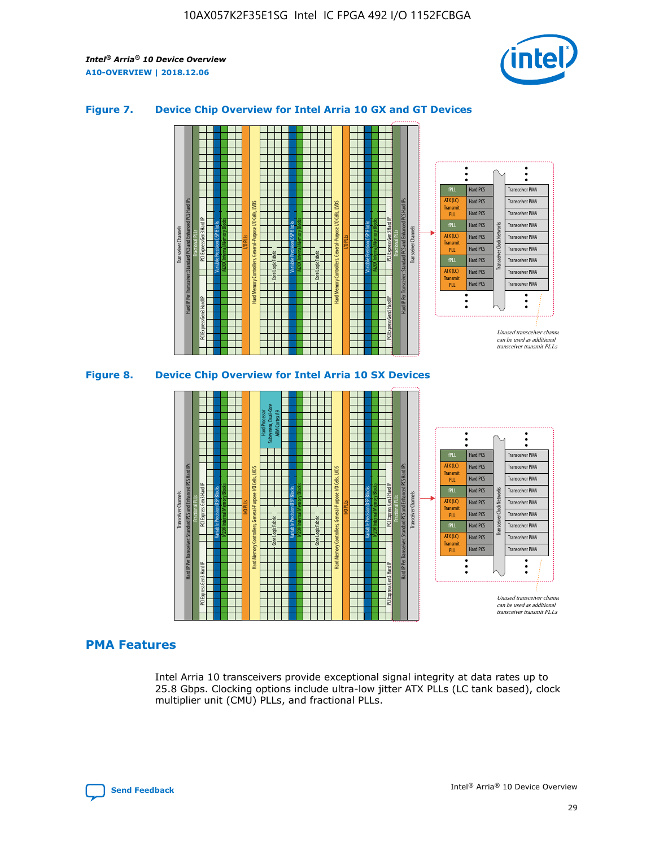

## **Figure 7. Device Chip Overview for Intel Arria 10 GX and GT Devices**





## **PMA Features**

Intel Arria 10 transceivers provide exceptional signal integrity at data rates up to 25.8 Gbps. Clocking options include ultra-low jitter ATX PLLs (LC tank based), clock multiplier unit (CMU) PLLs, and fractional PLLs.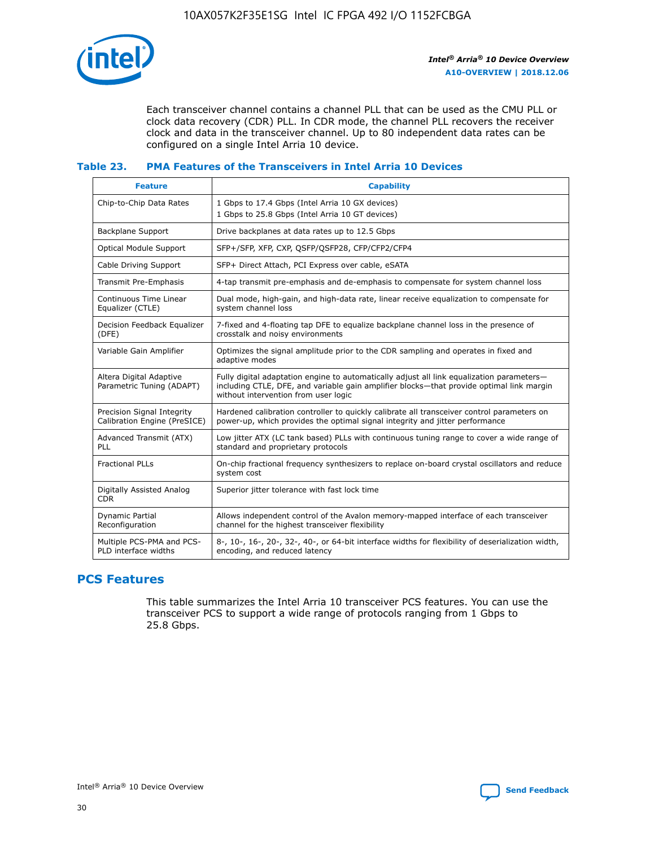

Each transceiver channel contains a channel PLL that can be used as the CMU PLL or clock data recovery (CDR) PLL. In CDR mode, the channel PLL recovers the receiver clock and data in the transceiver channel. Up to 80 independent data rates can be configured on a single Intel Arria 10 device.

## **Table 23. PMA Features of the Transceivers in Intel Arria 10 Devices**

| <b>Feature</b>                                             | <b>Capability</b>                                                                                                                                                                                                             |
|------------------------------------------------------------|-------------------------------------------------------------------------------------------------------------------------------------------------------------------------------------------------------------------------------|
| Chip-to-Chip Data Rates                                    | 1 Gbps to 17.4 Gbps (Intel Arria 10 GX devices)<br>1 Gbps to 25.8 Gbps (Intel Arria 10 GT devices)                                                                                                                            |
| <b>Backplane Support</b>                                   | Drive backplanes at data rates up to 12.5 Gbps                                                                                                                                                                                |
| <b>Optical Module Support</b>                              | SFP+/SFP, XFP, CXP, QSFP/QSFP28, CFP/CFP2/CFP4                                                                                                                                                                                |
| Cable Driving Support                                      | SFP+ Direct Attach, PCI Express over cable, eSATA                                                                                                                                                                             |
| Transmit Pre-Emphasis                                      | 4-tap transmit pre-emphasis and de-emphasis to compensate for system channel loss                                                                                                                                             |
| Continuous Time Linear<br>Equalizer (CTLE)                 | Dual mode, high-gain, and high-data rate, linear receive equalization to compensate for<br>system channel loss                                                                                                                |
| Decision Feedback Equalizer<br>(DFE)                       | 7-fixed and 4-floating tap DFE to equalize backplane channel loss in the presence of<br>crosstalk and noisy environments                                                                                                      |
| Variable Gain Amplifier                                    | Optimizes the signal amplitude prior to the CDR sampling and operates in fixed and<br>adaptive modes                                                                                                                          |
| Altera Digital Adaptive<br>Parametric Tuning (ADAPT)       | Fully digital adaptation engine to automatically adjust all link equalization parameters-<br>including CTLE, DFE, and variable gain amplifier blocks—that provide optimal link margin<br>without intervention from user logic |
| Precision Signal Integrity<br>Calibration Engine (PreSICE) | Hardened calibration controller to quickly calibrate all transceiver control parameters on<br>power-up, which provides the optimal signal integrity and jitter performance                                                    |
| Advanced Transmit (ATX)<br>PLL                             | Low jitter ATX (LC tank based) PLLs with continuous tuning range to cover a wide range of<br>standard and proprietary protocols                                                                                               |
| <b>Fractional PLLs</b>                                     | On-chip fractional frequency synthesizers to replace on-board crystal oscillators and reduce<br>system cost                                                                                                                   |
| Digitally Assisted Analog<br><b>CDR</b>                    | Superior jitter tolerance with fast lock time                                                                                                                                                                                 |
| Dynamic Partial<br>Reconfiguration                         | Allows independent control of the Avalon memory-mapped interface of each transceiver<br>channel for the highest transceiver flexibility                                                                                       |
| Multiple PCS-PMA and PCS-<br>PLD interface widths          | 8-, 10-, 16-, 20-, 32-, 40-, or 64-bit interface widths for flexibility of deserialization width,<br>encoding, and reduced latency                                                                                            |

## **PCS Features**

This table summarizes the Intel Arria 10 transceiver PCS features. You can use the transceiver PCS to support a wide range of protocols ranging from 1 Gbps to 25.8 Gbps.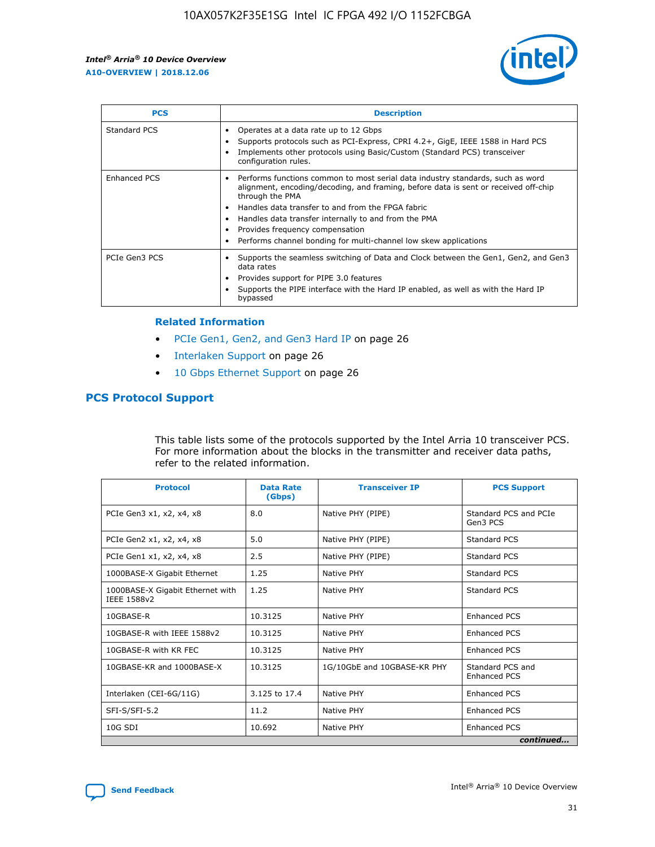

| <b>PCS</b>    | <b>Description</b>                                                                                                                                                                                                                                                                                                                                                                                             |
|---------------|----------------------------------------------------------------------------------------------------------------------------------------------------------------------------------------------------------------------------------------------------------------------------------------------------------------------------------------------------------------------------------------------------------------|
| Standard PCS  | Operates at a data rate up to 12 Gbps<br>Supports protocols such as PCI-Express, CPRI 4.2+, GigE, IEEE 1588 in Hard PCS<br>Implements other protocols using Basic/Custom (Standard PCS) transceiver<br>configuration rules.                                                                                                                                                                                    |
| Enhanced PCS  | Performs functions common to most serial data industry standards, such as word<br>alignment, encoding/decoding, and framing, before data is sent or received off-chip<br>through the PMA<br>• Handles data transfer to and from the FPGA fabric<br>Handles data transfer internally to and from the PMA<br>Provides frequency compensation<br>Performs channel bonding for multi-channel low skew applications |
| PCIe Gen3 PCS | Supports the seamless switching of Data and Clock between the Gen1, Gen2, and Gen3<br>data rates<br>Provides support for PIPE 3.0 features<br>Supports the PIPE interface with the Hard IP enabled, as well as with the Hard IP<br>bypassed                                                                                                                                                                    |

#### **Related Information**

- PCIe Gen1, Gen2, and Gen3 Hard IP on page 26
- Interlaken Support on page 26
- 10 Gbps Ethernet Support on page 26

## **PCS Protocol Support**

This table lists some of the protocols supported by the Intel Arria 10 transceiver PCS. For more information about the blocks in the transmitter and receiver data paths, refer to the related information.

| <b>Protocol</b>                                 | <b>Data Rate</b><br>(Gbps) | <b>Transceiver IP</b>       | <b>PCS Support</b>                      |
|-------------------------------------------------|----------------------------|-----------------------------|-----------------------------------------|
| PCIe Gen3 x1, x2, x4, x8                        | 8.0                        | Native PHY (PIPE)           | Standard PCS and PCIe<br>Gen3 PCS       |
| PCIe Gen2 x1, x2, x4, x8                        | 5.0                        | Native PHY (PIPE)           | <b>Standard PCS</b>                     |
| PCIe Gen1 x1, x2, x4, x8                        | 2.5                        | Native PHY (PIPE)           | Standard PCS                            |
| 1000BASE-X Gigabit Ethernet                     | 1.25                       | Native PHY                  | <b>Standard PCS</b>                     |
| 1000BASE-X Gigabit Ethernet with<br>IEEE 1588v2 | 1.25                       | Native PHY                  | Standard PCS                            |
| 10GBASE-R                                       | 10.3125                    | Native PHY                  | <b>Enhanced PCS</b>                     |
| 10GBASE-R with IEEE 1588v2                      | 10.3125                    | Native PHY                  | <b>Enhanced PCS</b>                     |
| 10GBASE-R with KR FEC                           | 10.3125                    | Native PHY                  | <b>Enhanced PCS</b>                     |
| 10GBASE-KR and 1000BASE-X                       | 10.3125                    | 1G/10GbE and 10GBASE-KR PHY | Standard PCS and<br><b>Enhanced PCS</b> |
| Interlaken (CEI-6G/11G)                         | 3.125 to 17.4              | Native PHY                  | <b>Enhanced PCS</b>                     |
| SFI-S/SFI-5.2                                   | 11.2                       | Native PHY                  | <b>Enhanced PCS</b>                     |
| $10G$ SDI                                       | 10.692                     | Native PHY                  | <b>Enhanced PCS</b>                     |
|                                                 |                            |                             | continued                               |

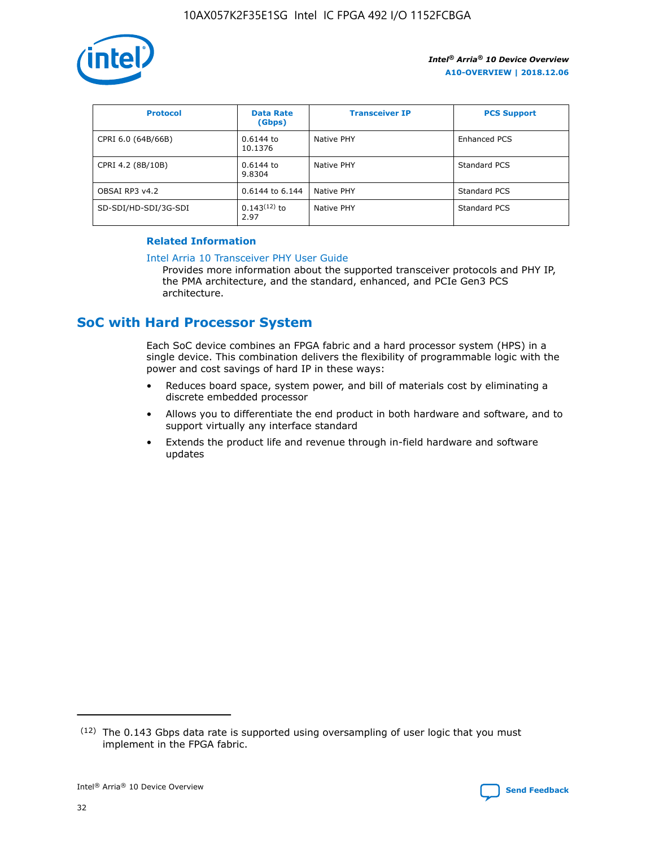

| <b>Protocol</b>      | <b>Data Rate</b><br>(Gbps) | <b>Transceiver IP</b> | <b>PCS Support</b> |
|----------------------|----------------------------|-----------------------|--------------------|
| CPRI 6.0 (64B/66B)   | 0.6144 to<br>10.1376       | Native PHY            | Enhanced PCS       |
| CPRI 4.2 (8B/10B)    | 0.6144 to<br>9.8304        | Native PHY            | Standard PCS       |
| OBSAI RP3 v4.2       | 0.6144 to 6.144            | Native PHY            | Standard PCS       |
| SD-SDI/HD-SDI/3G-SDI | $0.143(12)$ to<br>2.97     | Native PHY            | Standard PCS       |

## **Related Information**

#### [Intel Arria 10 Transceiver PHY User Guide](https://www.intel.com/content/www/us/en/programmable/documentation/nik1398707230472.html#nik1398707091164)

Provides more information about the supported transceiver protocols and PHY IP, the PMA architecture, and the standard, enhanced, and PCIe Gen3 PCS architecture.

## **SoC with Hard Processor System**

Each SoC device combines an FPGA fabric and a hard processor system (HPS) in a single device. This combination delivers the flexibility of programmable logic with the power and cost savings of hard IP in these ways:

- Reduces board space, system power, and bill of materials cost by eliminating a discrete embedded processor
- Allows you to differentiate the end product in both hardware and software, and to support virtually any interface standard
- Extends the product life and revenue through in-field hardware and software updates

<sup>(12)</sup> The 0.143 Gbps data rate is supported using oversampling of user logic that you must implement in the FPGA fabric.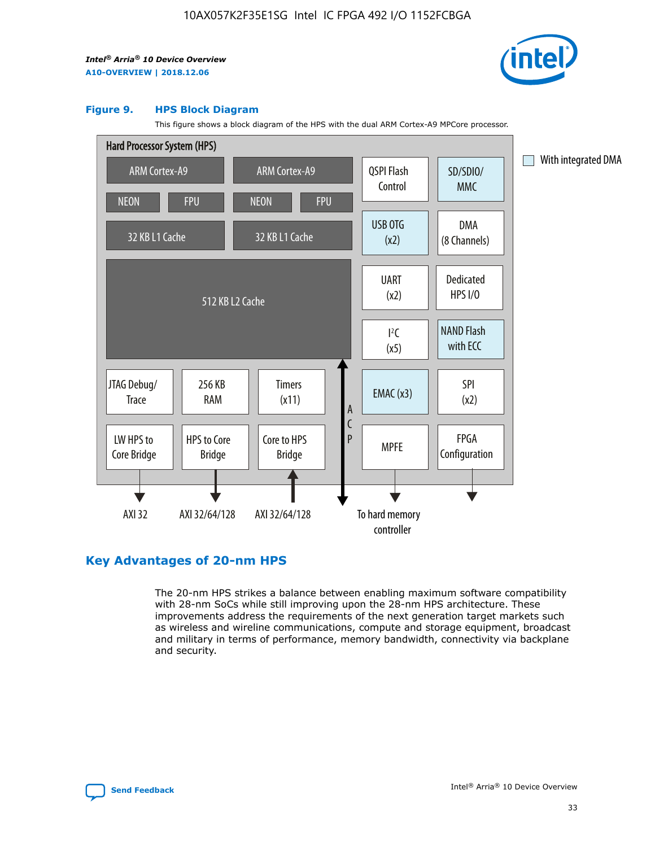

#### **Figure 9. HPS Block Diagram**

This figure shows a block diagram of the HPS with the dual ARM Cortex-A9 MPCore processor.



## **Key Advantages of 20-nm HPS**

The 20-nm HPS strikes a balance between enabling maximum software compatibility with 28-nm SoCs while still improving upon the 28-nm HPS architecture. These improvements address the requirements of the next generation target markets such as wireless and wireline communications, compute and storage equipment, broadcast and military in terms of performance, memory bandwidth, connectivity via backplane and security.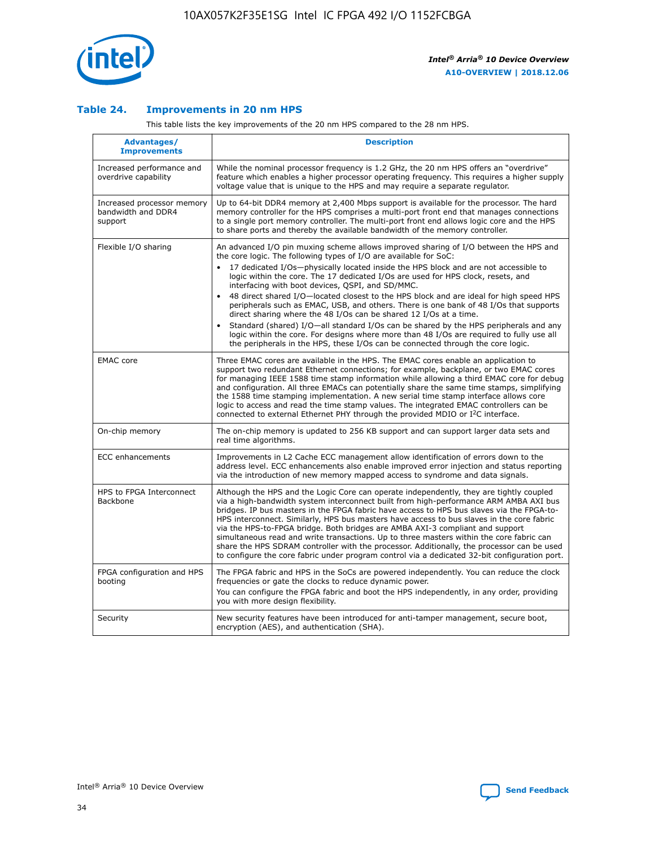

## **Table 24. Improvements in 20 nm HPS**

This table lists the key improvements of the 20 nm HPS compared to the 28 nm HPS.

| Advantages/<br><b>Improvements</b>                          | <b>Description</b>                                                                                                                                                                                                                                                                                                                                                                                                                                                                                                                                                                                                                                                                                                                                                                                                                                                                                                      |
|-------------------------------------------------------------|-------------------------------------------------------------------------------------------------------------------------------------------------------------------------------------------------------------------------------------------------------------------------------------------------------------------------------------------------------------------------------------------------------------------------------------------------------------------------------------------------------------------------------------------------------------------------------------------------------------------------------------------------------------------------------------------------------------------------------------------------------------------------------------------------------------------------------------------------------------------------------------------------------------------------|
| Increased performance and<br>overdrive capability           | While the nominal processor frequency is 1.2 GHz, the 20 nm HPS offers an "overdrive"<br>feature which enables a higher processor operating frequency. This requires a higher supply<br>voltage value that is unique to the HPS and may require a separate regulator.                                                                                                                                                                                                                                                                                                                                                                                                                                                                                                                                                                                                                                                   |
| Increased processor memory<br>bandwidth and DDR4<br>support | Up to 64-bit DDR4 memory at 2,400 Mbps support is available for the processor. The hard<br>memory controller for the HPS comprises a multi-port front end that manages connections<br>to a single port memory controller. The multi-port front end allows logic core and the HPS<br>to share ports and thereby the available bandwidth of the memory controller.                                                                                                                                                                                                                                                                                                                                                                                                                                                                                                                                                        |
| Flexible I/O sharing                                        | An advanced I/O pin muxing scheme allows improved sharing of I/O between the HPS and<br>the core logic. The following types of I/O are available for SoC:<br>17 dedicated I/Os-physically located inside the HPS block and are not accessible to<br>logic within the core. The 17 dedicated I/Os are used for HPS clock, resets, and<br>interfacing with boot devices, QSPI, and SD/MMC.<br>48 direct shared I/O-located closest to the HPS block and are ideal for high speed HPS<br>peripherals such as EMAC, USB, and others. There is one bank of 48 I/Os that supports<br>direct sharing where the 48 I/Os can be shared 12 I/Os at a time.<br>Standard (shared) I/O—all standard I/Os can be shared by the HPS peripherals and any<br>logic within the core. For designs where more than 48 I/Os are required to fully use all<br>the peripherals in the HPS, these I/Os can be connected through the core logic. |
| <b>EMAC</b> core                                            | Three EMAC cores are available in the HPS. The EMAC cores enable an application to<br>support two redundant Ethernet connections; for example, backplane, or two EMAC cores<br>for managing IEEE 1588 time stamp information while allowing a third EMAC core for debug<br>and configuration. All three EMACs can potentially share the same time stamps, simplifying<br>the 1588 time stamping implementation. A new serial time stamp interface allows core<br>logic to access and read the time stamp values. The integrated EMAC controllers can be<br>connected to external Ethernet PHY through the provided MDIO or I <sup>2</sup> C interface.                                                                                                                                                                                                                                                                  |
| On-chip memory                                              | The on-chip memory is updated to 256 KB support and can support larger data sets and<br>real time algorithms.                                                                                                                                                                                                                                                                                                                                                                                                                                                                                                                                                                                                                                                                                                                                                                                                           |
| ECC enhancements                                            | Improvements in L2 Cache ECC management allow identification of errors down to the<br>address level. ECC enhancements also enable improved error injection and status reporting<br>via the introduction of new memory mapped access to syndrome and data signals.                                                                                                                                                                                                                                                                                                                                                                                                                                                                                                                                                                                                                                                       |
| HPS to FPGA Interconnect<br>Backbone                        | Although the HPS and the Logic Core can operate independently, they are tightly coupled<br>via a high-bandwidth system interconnect built from high-performance ARM AMBA AXI bus<br>bridges. IP bus masters in the FPGA fabric have access to HPS bus slaves via the FPGA-to-<br>HPS interconnect. Similarly, HPS bus masters have access to bus slaves in the core fabric<br>via the HPS-to-FPGA bridge. Both bridges are AMBA AXI-3 compliant and support<br>simultaneous read and write transactions. Up to three masters within the core fabric can<br>share the HPS SDRAM controller with the processor. Additionally, the processor can be used<br>to configure the core fabric under program control via a dedicated 32-bit configuration port.                                                                                                                                                                  |
| FPGA configuration and HPS<br>booting                       | The FPGA fabric and HPS in the SoCs are powered independently. You can reduce the clock<br>frequencies or gate the clocks to reduce dynamic power.<br>You can configure the FPGA fabric and boot the HPS independently, in any order, providing<br>you with more design flexibility.                                                                                                                                                                                                                                                                                                                                                                                                                                                                                                                                                                                                                                    |
| Security                                                    | New security features have been introduced for anti-tamper management, secure boot,<br>encryption (AES), and authentication (SHA).                                                                                                                                                                                                                                                                                                                                                                                                                                                                                                                                                                                                                                                                                                                                                                                      |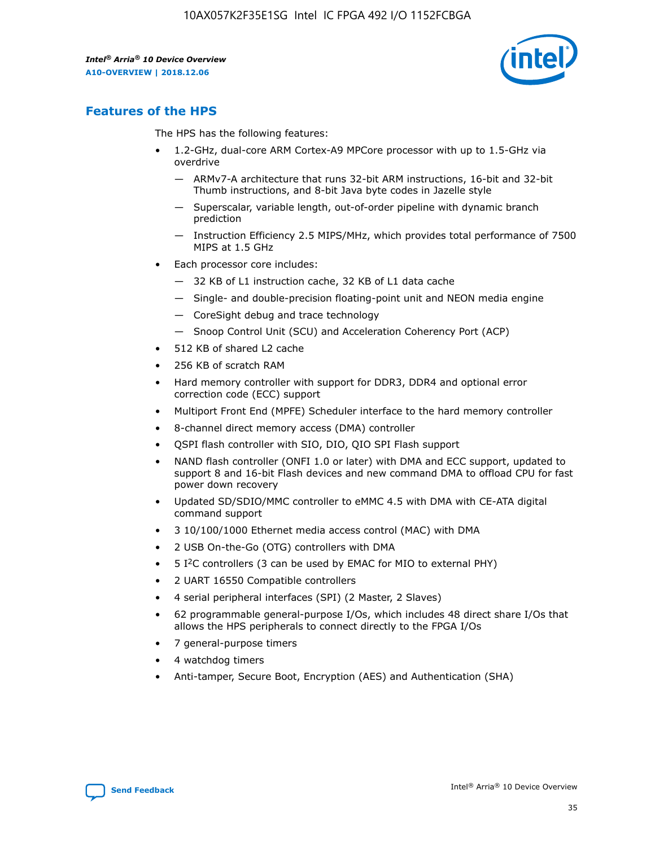

## **Features of the HPS**

The HPS has the following features:

- 1.2-GHz, dual-core ARM Cortex-A9 MPCore processor with up to 1.5-GHz via overdrive
	- ARMv7-A architecture that runs 32-bit ARM instructions, 16-bit and 32-bit Thumb instructions, and 8-bit Java byte codes in Jazelle style
	- Superscalar, variable length, out-of-order pipeline with dynamic branch prediction
	- Instruction Efficiency 2.5 MIPS/MHz, which provides total performance of 7500 MIPS at 1.5 GHz
- Each processor core includes:
	- 32 KB of L1 instruction cache, 32 KB of L1 data cache
	- Single- and double-precision floating-point unit and NEON media engine
	- CoreSight debug and trace technology
	- Snoop Control Unit (SCU) and Acceleration Coherency Port (ACP)
- 512 KB of shared L2 cache
- 256 KB of scratch RAM
- Hard memory controller with support for DDR3, DDR4 and optional error correction code (ECC) support
- Multiport Front End (MPFE) Scheduler interface to the hard memory controller
- 8-channel direct memory access (DMA) controller
- QSPI flash controller with SIO, DIO, QIO SPI Flash support
- NAND flash controller (ONFI 1.0 or later) with DMA and ECC support, updated to support 8 and 16-bit Flash devices and new command DMA to offload CPU for fast power down recovery
- Updated SD/SDIO/MMC controller to eMMC 4.5 with DMA with CE-ATA digital command support
- 3 10/100/1000 Ethernet media access control (MAC) with DMA
- 2 USB On-the-Go (OTG) controllers with DMA
- $\bullet$  5 I<sup>2</sup>C controllers (3 can be used by EMAC for MIO to external PHY)
- 2 UART 16550 Compatible controllers
- 4 serial peripheral interfaces (SPI) (2 Master, 2 Slaves)
- 62 programmable general-purpose I/Os, which includes 48 direct share I/Os that allows the HPS peripherals to connect directly to the FPGA I/Os
- 7 general-purpose timers
- 4 watchdog timers
- Anti-tamper, Secure Boot, Encryption (AES) and Authentication (SHA)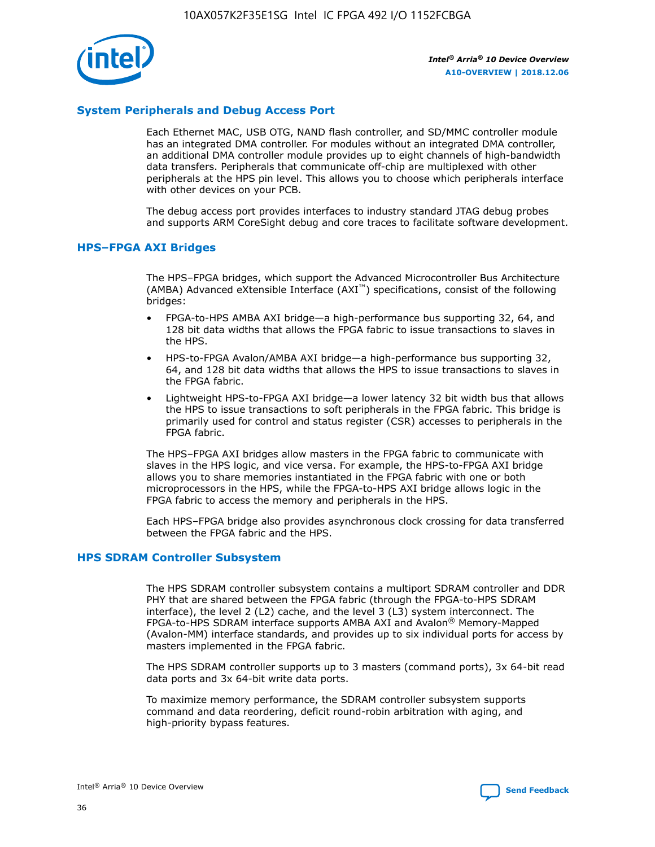

## **System Peripherals and Debug Access Port**

Each Ethernet MAC, USB OTG, NAND flash controller, and SD/MMC controller module has an integrated DMA controller. For modules without an integrated DMA controller, an additional DMA controller module provides up to eight channels of high-bandwidth data transfers. Peripherals that communicate off-chip are multiplexed with other peripherals at the HPS pin level. This allows you to choose which peripherals interface with other devices on your PCB.

The debug access port provides interfaces to industry standard JTAG debug probes and supports ARM CoreSight debug and core traces to facilitate software development.

## **HPS–FPGA AXI Bridges**

The HPS–FPGA bridges, which support the Advanced Microcontroller Bus Architecture (AMBA) Advanced eXtensible Interface (AXI™) specifications, consist of the following bridges:

- FPGA-to-HPS AMBA AXI bridge—a high-performance bus supporting 32, 64, and 128 bit data widths that allows the FPGA fabric to issue transactions to slaves in the HPS.
- HPS-to-FPGA Avalon/AMBA AXI bridge—a high-performance bus supporting 32, 64, and 128 bit data widths that allows the HPS to issue transactions to slaves in the FPGA fabric.
- Lightweight HPS-to-FPGA AXI bridge—a lower latency 32 bit width bus that allows the HPS to issue transactions to soft peripherals in the FPGA fabric. This bridge is primarily used for control and status register (CSR) accesses to peripherals in the FPGA fabric.

The HPS–FPGA AXI bridges allow masters in the FPGA fabric to communicate with slaves in the HPS logic, and vice versa. For example, the HPS-to-FPGA AXI bridge allows you to share memories instantiated in the FPGA fabric with one or both microprocessors in the HPS, while the FPGA-to-HPS AXI bridge allows logic in the FPGA fabric to access the memory and peripherals in the HPS.

Each HPS–FPGA bridge also provides asynchronous clock crossing for data transferred between the FPGA fabric and the HPS.

#### **HPS SDRAM Controller Subsystem**

The HPS SDRAM controller subsystem contains a multiport SDRAM controller and DDR PHY that are shared between the FPGA fabric (through the FPGA-to-HPS SDRAM interface), the level 2 (L2) cache, and the level 3 (L3) system interconnect. The FPGA-to-HPS SDRAM interface supports AMBA AXI and Avalon® Memory-Mapped (Avalon-MM) interface standards, and provides up to six individual ports for access by masters implemented in the FPGA fabric.

The HPS SDRAM controller supports up to 3 masters (command ports), 3x 64-bit read data ports and 3x 64-bit write data ports.

To maximize memory performance, the SDRAM controller subsystem supports command and data reordering, deficit round-robin arbitration with aging, and high-priority bypass features.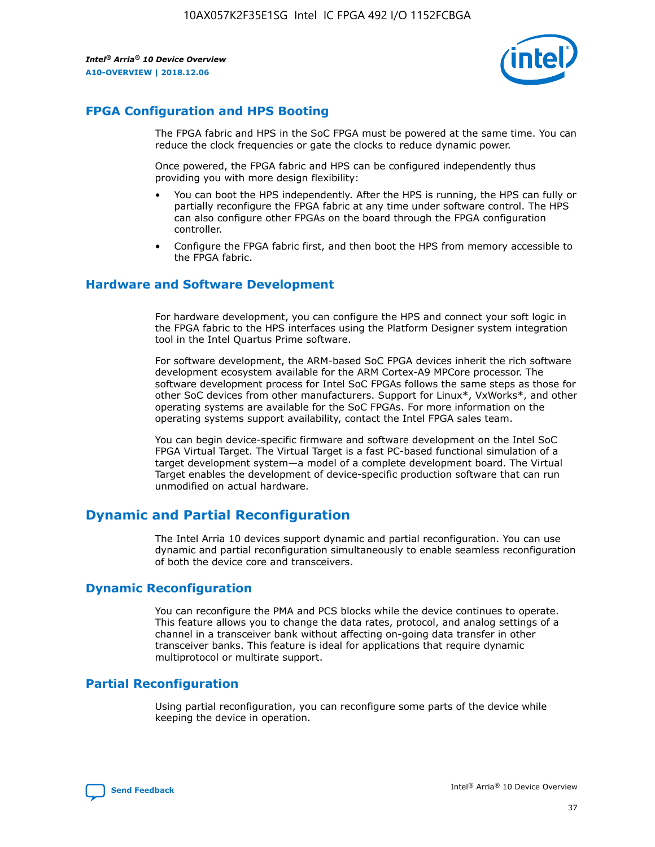

## **FPGA Configuration and HPS Booting**

The FPGA fabric and HPS in the SoC FPGA must be powered at the same time. You can reduce the clock frequencies or gate the clocks to reduce dynamic power.

Once powered, the FPGA fabric and HPS can be configured independently thus providing you with more design flexibility:

- You can boot the HPS independently. After the HPS is running, the HPS can fully or partially reconfigure the FPGA fabric at any time under software control. The HPS can also configure other FPGAs on the board through the FPGA configuration controller.
- Configure the FPGA fabric first, and then boot the HPS from memory accessible to the FPGA fabric.

## **Hardware and Software Development**

For hardware development, you can configure the HPS and connect your soft logic in the FPGA fabric to the HPS interfaces using the Platform Designer system integration tool in the Intel Quartus Prime software.

For software development, the ARM-based SoC FPGA devices inherit the rich software development ecosystem available for the ARM Cortex-A9 MPCore processor. The software development process for Intel SoC FPGAs follows the same steps as those for other SoC devices from other manufacturers. Support for Linux\*, VxWorks\*, and other operating systems are available for the SoC FPGAs. For more information on the operating systems support availability, contact the Intel FPGA sales team.

You can begin device-specific firmware and software development on the Intel SoC FPGA Virtual Target. The Virtual Target is a fast PC-based functional simulation of a target development system—a model of a complete development board. The Virtual Target enables the development of device-specific production software that can run unmodified on actual hardware.

## **Dynamic and Partial Reconfiguration**

The Intel Arria 10 devices support dynamic and partial reconfiguration. You can use dynamic and partial reconfiguration simultaneously to enable seamless reconfiguration of both the device core and transceivers.

## **Dynamic Reconfiguration**

You can reconfigure the PMA and PCS blocks while the device continues to operate. This feature allows you to change the data rates, protocol, and analog settings of a channel in a transceiver bank without affecting on-going data transfer in other transceiver banks. This feature is ideal for applications that require dynamic multiprotocol or multirate support.

## **Partial Reconfiguration**

Using partial reconfiguration, you can reconfigure some parts of the device while keeping the device in operation.

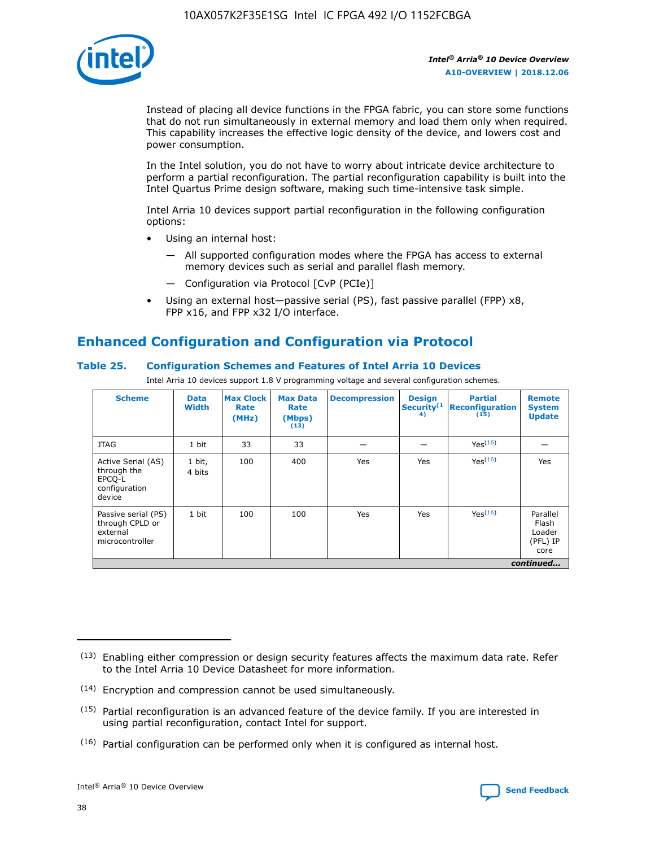

Instead of placing all device functions in the FPGA fabric, you can store some functions that do not run simultaneously in external memory and load them only when required. This capability increases the effective logic density of the device, and lowers cost and power consumption.

In the Intel solution, you do not have to worry about intricate device architecture to perform a partial reconfiguration. The partial reconfiguration capability is built into the Intel Quartus Prime design software, making such time-intensive task simple.

Intel Arria 10 devices support partial reconfiguration in the following configuration options:

- Using an internal host:
	- All supported configuration modes where the FPGA has access to external memory devices such as serial and parallel flash memory.
	- Configuration via Protocol [CvP (PCIe)]
- Using an external host—passive serial (PS), fast passive parallel (FPP) x8, FPP x16, and FPP x32 I/O interface.

# **Enhanced Configuration and Configuration via Protocol**

## **Table 25. Configuration Schemes and Features of Intel Arria 10 Devices**

Intel Arria 10 devices support 1.8 V programming voltage and several configuration schemes.

| <b>Scheme</b>                                                          | <b>Data</b><br><b>Width</b> | <b>Max Clock</b><br>Rate<br>(MHz) | <b>Max Data</b><br>Rate<br>(Mbps)<br>(13) | <b>Decompression</b> | <b>Design</b><br>Security <sup>(1</sup><br>4) | <b>Partial</b><br><b>Reconfiguration</b><br>(15) | <b>Remote</b><br><b>System</b><br><b>Update</b> |
|------------------------------------------------------------------------|-----------------------------|-----------------------------------|-------------------------------------------|----------------------|-----------------------------------------------|--------------------------------------------------|-------------------------------------------------|
| <b>JTAG</b>                                                            | 1 bit                       | 33                                | 33                                        |                      |                                               | Yes(16)                                          |                                                 |
| Active Serial (AS)<br>through the<br>EPCO-L<br>configuration<br>device | 1 bit,<br>4 bits            | 100                               | 400                                       | Yes                  | Yes                                           | $Y_{PS}(16)$                                     | Yes                                             |
| Passive serial (PS)<br>through CPLD or<br>external<br>microcontroller  | 1 bit                       | 100                               | 100                                       | Yes                  | Yes                                           | Yes(16)                                          | Parallel<br>Flash<br>Loader<br>(PFL) IP<br>core |
|                                                                        |                             |                                   |                                           |                      |                                               |                                                  | continued                                       |

<sup>(13)</sup> Enabling either compression or design security features affects the maximum data rate. Refer to the Intel Arria 10 Device Datasheet for more information.

<sup>(14)</sup> Encryption and compression cannot be used simultaneously.

 $(15)$  Partial reconfiguration is an advanced feature of the device family. If you are interested in using partial reconfiguration, contact Intel for support.

 $(16)$  Partial configuration can be performed only when it is configured as internal host.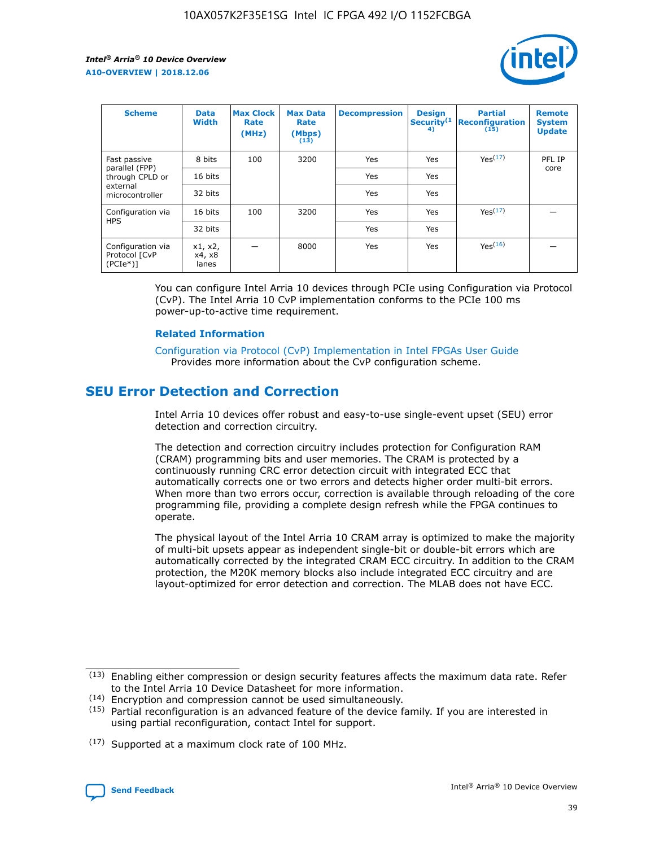

| <b>Scheme</b>                                   | <b>Data</b><br><b>Width</b> | <b>Max Clock</b><br>Rate<br>(MHz) | <b>Max Data</b><br>Rate<br>(Mbps)<br>(13) | <b>Decompression</b> | <b>Design</b><br>Security <sup>(1</sup><br>4) | <b>Partial</b><br><b>Reconfiguration</b><br>(15) | <b>Remote</b><br><b>System</b><br><b>Update</b> |
|-------------------------------------------------|-----------------------------|-----------------------------------|-------------------------------------------|----------------------|-----------------------------------------------|--------------------------------------------------|-------------------------------------------------|
| Fast passive                                    | 8 bits                      | 100                               | 3200                                      | Yes                  | Yes                                           | Yes(17)                                          | PFL IP                                          |
| parallel (FPP)<br>through CPLD or               | 16 bits                     |                                   |                                           | Yes                  | Yes                                           |                                                  | core                                            |
| external<br>microcontroller                     | 32 bits                     |                                   |                                           | Yes                  | Yes                                           |                                                  |                                                 |
| Configuration via                               | 16 bits                     | 100                               | 3200                                      | Yes                  | Yes                                           | Yes <sup>(17)</sup>                              |                                                 |
| <b>HPS</b>                                      | 32 bits                     |                                   |                                           | Yes                  | Yes                                           |                                                  |                                                 |
| Configuration via<br>Protocol [CvP<br>$(PCIe*)$ | x1, x2,<br>x4, x8<br>lanes  |                                   | 8000                                      | Yes                  | Yes                                           | Yes <sup>(16)</sup>                              |                                                 |

You can configure Intel Arria 10 devices through PCIe using Configuration via Protocol (CvP). The Intel Arria 10 CvP implementation conforms to the PCIe 100 ms power-up-to-active time requirement.

#### **Related Information**

[Configuration via Protocol \(CvP\) Implementation in Intel FPGAs User Guide](https://www.intel.com/content/www/us/en/programmable/documentation/dsu1441819344145.html#dsu1442269728522) Provides more information about the CvP configuration scheme.

## **SEU Error Detection and Correction**

Intel Arria 10 devices offer robust and easy-to-use single-event upset (SEU) error detection and correction circuitry.

The detection and correction circuitry includes protection for Configuration RAM (CRAM) programming bits and user memories. The CRAM is protected by a continuously running CRC error detection circuit with integrated ECC that automatically corrects one or two errors and detects higher order multi-bit errors. When more than two errors occur, correction is available through reloading of the core programming file, providing a complete design refresh while the FPGA continues to operate.

The physical layout of the Intel Arria 10 CRAM array is optimized to make the majority of multi-bit upsets appear as independent single-bit or double-bit errors which are automatically corrected by the integrated CRAM ECC circuitry. In addition to the CRAM protection, the M20K memory blocks also include integrated ECC circuitry and are layout-optimized for error detection and correction. The MLAB does not have ECC.

(14) Encryption and compression cannot be used simultaneously.

<sup>(17)</sup> Supported at a maximum clock rate of 100 MHz.



 $(13)$  Enabling either compression or design security features affects the maximum data rate. Refer to the Intel Arria 10 Device Datasheet for more information.

 $(15)$  Partial reconfiguration is an advanced feature of the device family. If you are interested in using partial reconfiguration, contact Intel for support.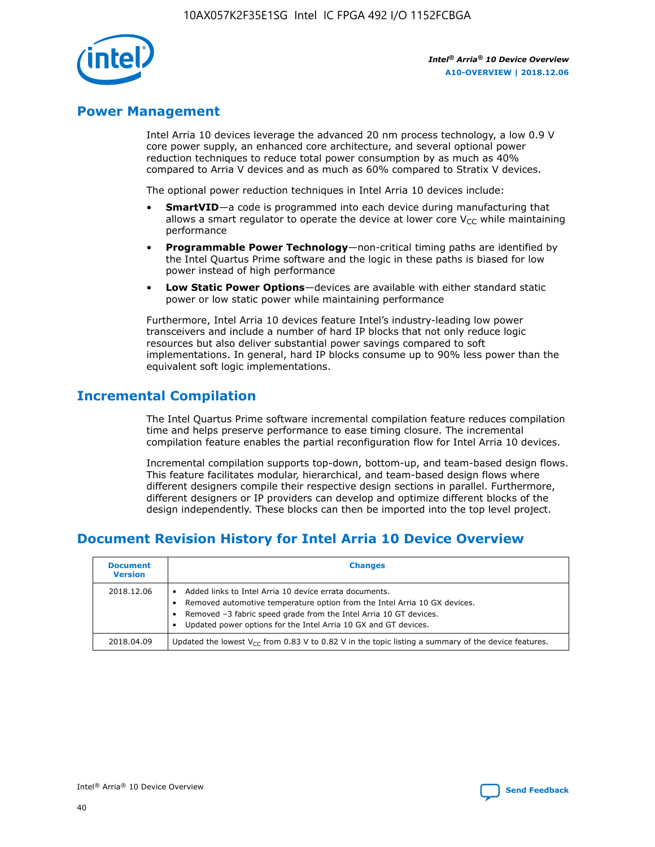

## **Power Management**

Intel Arria 10 devices leverage the advanced 20 nm process technology, a low 0.9 V core power supply, an enhanced core architecture, and several optional power reduction techniques to reduce total power consumption by as much as 40% compared to Arria V devices and as much as 60% compared to Stratix V devices.

The optional power reduction techniques in Intel Arria 10 devices include:

- **SmartVID**—a code is programmed into each device during manufacturing that allows a smart regulator to operate the device at lower core  $V_{CC}$  while maintaining performance
- **Programmable Power Technology**—non-critical timing paths are identified by the Intel Quartus Prime software and the logic in these paths is biased for low power instead of high performance
- **Low Static Power Options**—devices are available with either standard static power or low static power while maintaining performance

Furthermore, Intel Arria 10 devices feature Intel's industry-leading low power transceivers and include a number of hard IP blocks that not only reduce logic resources but also deliver substantial power savings compared to soft implementations. In general, hard IP blocks consume up to 90% less power than the equivalent soft logic implementations.

## **Incremental Compilation**

The Intel Quartus Prime software incremental compilation feature reduces compilation time and helps preserve performance to ease timing closure. The incremental compilation feature enables the partial reconfiguration flow for Intel Arria 10 devices.

Incremental compilation supports top-down, bottom-up, and team-based design flows. This feature facilitates modular, hierarchical, and team-based design flows where different designers compile their respective design sections in parallel. Furthermore, different designers or IP providers can develop and optimize different blocks of the design independently. These blocks can then be imported into the top level project.

# **Document Revision History for Intel Arria 10 Device Overview**

| <b>Document</b><br><b>Version</b> | <b>Changes</b>                                                                                                                                                                                                                                                              |
|-----------------------------------|-----------------------------------------------------------------------------------------------------------------------------------------------------------------------------------------------------------------------------------------------------------------------------|
| 2018.12.06                        | Added links to Intel Arria 10 device errata documents.<br>Removed automotive temperature option from the Intel Arria 10 GX devices.<br>Removed -3 fabric speed grade from the Intel Arria 10 GT devices.<br>Updated power options for the Intel Arria 10 GX and GT devices. |
| 2018.04.09                        | Updated the lowest $V_{CC}$ from 0.83 V to 0.82 V in the topic listing a summary of the device features.                                                                                                                                                                    |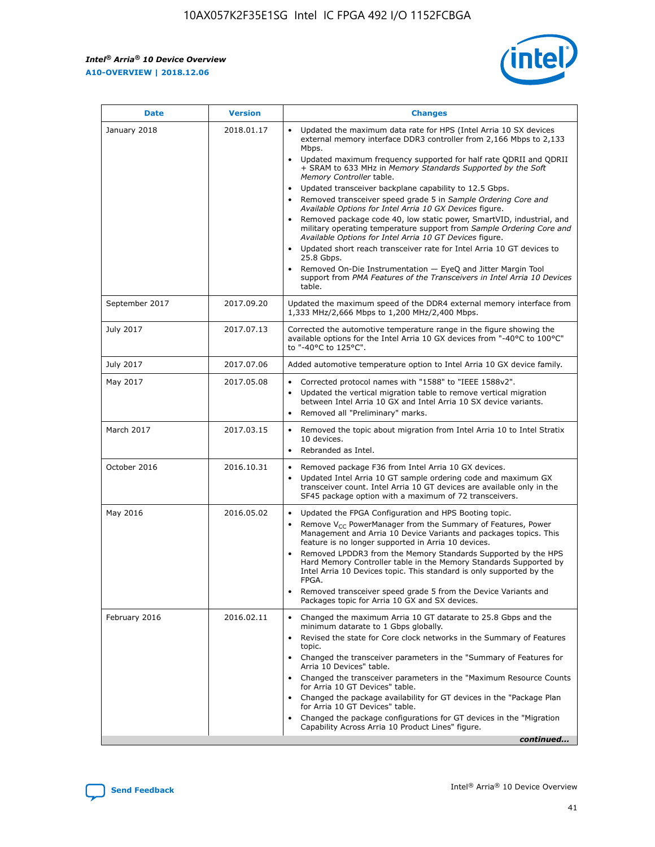$\overline{\phantom{a}}$ 

 $\mathsf{r}$ 



| January 2018<br>Updated the maximum data rate for HPS (Intel Arria 10 SX devices<br>2018.01.17<br>external memory interface DDR3 controller from 2,166 Mbps to 2,133<br>Mbps.<br>$\bullet$<br>+ SRAM to 633 MHz in Memory Standards Supported by the Soft<br>Memory Controller table.<br>Updated transceiver backplane capability to 12.5 Gbps.<br>$\bullet$<br>Removed transceiver speed grade 5 in Sample Ordering Core and<br>Available Options for Intel Arria 10 GX Devices figure.<br>Available Options for Intel Arria 10 GT Devices figure.<br>Updated short reach transceiver rate for Intel Arria 10 GT devices to<br>$\bullet$<br>25.8 Gbps.<br>Removed On-Die Instrumentation - EyeQ and Jitter Margin Tool<br>table.<br>2017.09.20<br>September 2017<br>1,333 MHz/2,666 Mbps to 1,200 MHz/2,400 Mbps.<br>July 2017<br>2017.07.13<br>Corrected the automotive temperature range in the figure showing the<br>available options for the Intel Arria 10 GX devices from "-40°C to 100°C"<br>to "-40°C to 125°C".<br>July 2017<br>2017.07.06<br>Added automotive temperature option to Intel Arria 10 GX device family.<br>2017.05.08<br>Corrected protocol names with "1588" to "IEEE 1588v2".<br>May 2017<br>$\bullet$<br>Updated the vertical migration table to remove vertical migration<br>$\bullet$<br>between Intel Arria 10 GX and Intel Arria 10 SX device variants.<br>Removed all "Preliminary" marks.<br>2017.03.15<br>March 2017<br>Removed the topic about migration from Intel Arria 10 to Intel Stratix<br>10 devices.<br>Rebranded as Intel.<br>$\bullet$<br>October 2016<br>2016.10.31<br>Removed package F36 from Intel Arria 10 GX devices.<br>$\bullet$<br>Updated Intel Arria 10 GT sample ordering code and maximum GX<br>$\bullet$<br>transceiver count. Intel Arria 10 GT devices are available only in the<br>SF45 package option with a maximum of 72 transceivers.<br>May 2016<br>2016.05.02<br>Updated the FPGA Configuration and HPS Booting topic.<br>Remove $V_{CC}$ PowerManager from the Summary of Features, Power<br>Management and Arria 10 Device Variants and packages topics. This<br>feature is no longer supported in Arria 10 devices.<br>Removed LPDDR3 from the Memory Standards Supported by the HPS<br>Hard Memory Controller table in the Memory Standards Supported by<br>Intel Arria 10 Devices topic. This standard is only supported by the<br>FPGA.<br>Removed transceiver speed grade 5 from the Device Variants and<br>Packages topic for Arria 10 GX and SX devices.<br>Changed the maximum Arria 10 GT datarate to 25.8 Gbps and the<br>February 2016<br>2016.02.11<br>minimum datarate to 1 Gbps globally.<br>Revised the state for Core clock networks in the Summary of Features<br>$\bullet$<br>topic.<br>• Changed the transceiver parameters in the "Summary of Features for<br>Arria 10 Devices" table.<br>for Arria 10 GT Devices" table.<br>• Changed the package availability for GT devices in the "Package Plan<br>for Arria 10 GT Devices" table.<br>Changed the package configurations for GT devices in the "Migration"<br>Capability Across Arria 10 Product Lines" figure. | <b>Date</b> | <b>Version</b> | <b>Changes</b>                                                                                                                                                                                                                                                                               |
|----------------------------------------------------------------------------------------------------------------------------------------------------------------------------------------------------------------------------------------------------------------------------------------------------------------------------------------------------------------------------------------------------------------------------------------------------------------------------------------------------------------------------------------------------------------------------------------------------------------------------------------------------------------------------------------------------------------------------------------------------------------------------------------------------------------------------------------------------------------------------------------------------------------------------------------------------------------------------------------------------------------------------------------------------------------------------------------------------------------------------------------------------------------------------------------------------------------------------------------------------------------------------------------------------------------------------------------------------------------------------------------------------------------------------------------------------------------------------------------------------------------------------------------------------------------------------------------------------------------------------------------------------------------------------------------------------------------------------------------------------------------------------------------------------------------------------------------------------------------------------------------------------------------------------------------------------------------------------------------------------------------------------------------------------------------------------------------------------------------------------------------------------------------------------------------------------------------------------------------------------------------------------------------------------------------------------------------------------------------------------------------------------------------------------------------------------------------------------------------------------------------------------------------------------------------------------------------------------------------------------------------------------------------------------------------------------------------------------------------------------------------------------------------------------------------------------------------------------------------------------------------------------------------------------------------------------------------------------------------------------------------------------------------------------------------------------------------------------------------------------------------------------------------|-------------|----------------|----------------------------------------------------------------------------------------------------------------------------------------------------------------------------------------------------------------------------------------------------------------------------------------------|
|                                                                                                                                                                                                                                                                                                                                                                                                                                                                                                                                                                                                                                                                                                                                                                                                                                                                                                                                                                                                                                                                                                                                                                                                                                                                                                                                                                                                                                                                                                                                                                                                                                                                                                                                                                                                                                                                                                                                                                                                                                                                                                                                                                                                                                                                                                                                                                                                                                                                                                                                                                                                                                                                                                                                                                                                                                                                                                                                                                                                                                                                                                                                                                |             |                | Updated maximum frequency supported for half rate QDRII and QDRII<br>Removed package code 40, low static power, SmartVID, industrial, and<br>military operating temperature support from Sample Ordering Core and<br>support from PMA Features of the Transceivers in Intel Arria 10 Devices |
|                                                                                                                                                                                                                                                                                                                                                                                                                                                                                                                                                                                                                                                                                                                                                                                                                                                                                                                                                                                                                                                                                                                                                                                                                                                                                                                                                                                                                                                                                                                                                                                                                                                                                                                                                                                                                                                                                                                                                                                                                                                                                                                                                                                                                                                                                                                                                                                                                                                                                                                                                                                                                                                                                                                                                                                                                                                                                                                                                                                                                                                                                                                                                                |             |                | Updated the maximum speed of the DDR4 external memory interface from                                                                                                                                                                                                                         |
|                                                                                                                                                                                                                                                                                                                                                                                                                                                                                                                                                                                                                                                                                                                                                                                                                                                                                                                                                                                                                                                                                                                                                                                                                                                                                                                                                                                                                                                                                                                                                                                                                                                                                                                                                                                                                                                                                                                                                                                                                                                                                                                                                                                                                                                                                                                                                                                                                                                                                                                                                                                                                                                                                                                                                                                                                                                                                                                                                                                                                                                                                                                                                                |             |                |                                                                                                                                                                                                                                                                                              |
|                                                                                                                                                                                                                                                                                                                                                                                                                                                                                                                                                                                                                                                                                                                                                                                                                                                                                                                                                                                                                                                                                                                                                                                                                                                                                                                                                                                                                                                                                                                                                                                                                                                                                                                                                                                                                                                                                                                                                                                                                                                                                                                                                                                                                                                                                                                                                                                                                                                                                                                                                                                                                                                                                                                                                                                                                                                                                                                                                                                                                                                                                                                                                                |             |                |                                                                                                                                                                                                                                                                                              |
|                                                                                                                                                                                                                                                                                                                                                                                                                                                                                                                                                                                                                                                                                                                                                                                                                                                                                                                                                                                                                                                                                                                                                                                                                                                                                                                                                                                                                                                                                                                                                                                                                                                                                                                                                                                                                                                                                                                                                                                                                                                                                                                                                                                                                                                                                                                                                                                                                                                                                                                                                                                                                                                                                                                                                                                                                                                                                                                                                                                                                                                                                                                                                                |             |                |                                                                                                                                                                                                                                                                                              |
|                                                                                                                                                                                                                                                                                                                                                                                                                                                                                                                                                                                                                                                                                                                                                                                                                                                                                                                                                                                                                                                                                                                                                                                                                                                                                                                                                                                                                                                                                                                                                                                                                                                                                                                                                                                                                                                                                                                                                                                                                                                                                                                                                                                                                                                                                                                                                                                                                                                                                                                                                                                                                                                                                                                                                                                                                                                                                                                                                                                                                                                                                                                                                                |             |                |                                                                                                                                                                                                                                                                                              |
|                                                                                                                                                                                                                                                                                                                                                                                                                                                                                                                                                                                                                                                                                                                                                                                                                                                                                                                                                                                                                                                                                                                                                                                                                                                                                                                                                                                                                                                                                                                                                                                                                                                                                                                                                                                                                                                                                                                                                                                                                                                                                                                                                                                                                                                                                                                                                                                                                                                                                                                                                                                                                                                                                                                                                                                                                                                                                                                                                                                                                                                                                                                                                                |             |                |                                                                                                                                                                                                                                                                                              |
|                                                                                                                                                                                                                                                                                                                                                                                                                                                                                                                                                                                                                                                                                                                                                                                                                                                                                                                                                                                                                                                                                                                                                                                                                                                                                                                                                                                                                                                                                                                                                                                                                                                                                                                                                                                                                                                                                                                                                                                                                                                                                                                                                                                                                                                                                                                                                                                                                                                                                                                                                                                                                                                                                                                                                                                                                                                                                                                                                                                                                                                                                                                                                                |             |                |                                                                                                                                                                                                                                                                                              |
|                                                                                                                                                                                                                                                                                                                                                                                                                                                                                                                                                                                                                                                                                                                                                                                                                                                                                                                                                                                                                                                                                                                                                                                                                                                                                                                                                                                                                                                                                                                                                                                                                                                                                                                                                                                                                                                                                                                                                                                                                                                                                                                                                                                                                                                                                                                                                                                                                                                                                                                                                                                                                                                                                                                                                                                                                                                                                                                                                                                                                                                                                                                                                                |             |                | Changed the transceiver parameters in the "Maximum Resource Counts"<br>continued                                                                                                                                                                                                             |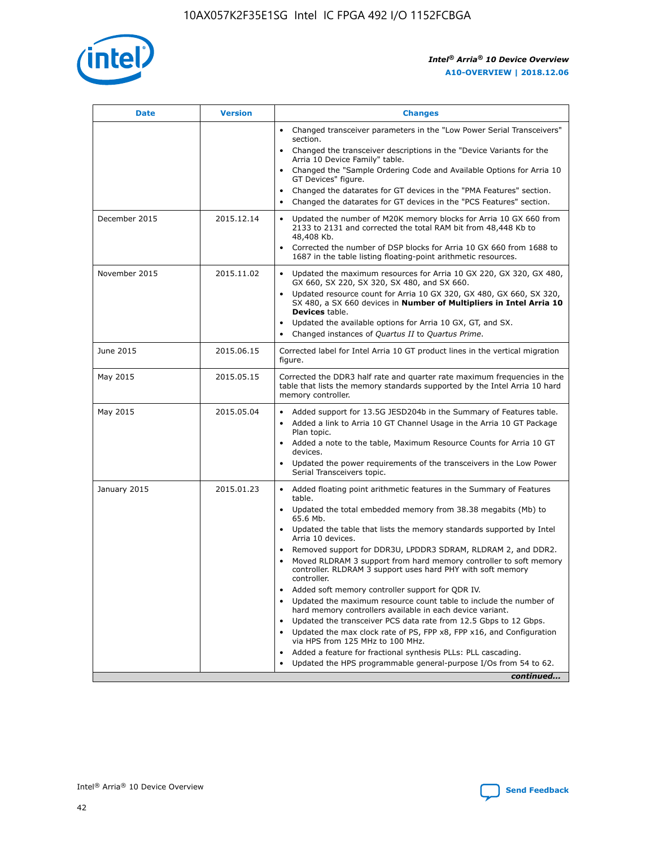

| <b>Date</b>   | <b>Version</b> | <b>Changes</b>                                                                                                                                                               |
|---------------|----------------|------------------------------------------------------------------------------------------------------------------------------------------------------------------------------|
|               |                | • Changed transceiver parameters in the "Low Power Serial Transceivers"<br>section.                                                                                          |
|               |                | • Changed the transceiver descriptions in the "Device Variants for the<br>Arria 10 Device Family" table.                                                                     |
|               |                | Changed the "Sample Ordering Code and Available Options for Arria 10<br>$\bullet$<br>GT Devices" figure.                                                                     |
|               |                | Changed the datarates for GT devices in the "PMA Features" section.                                                                                                          |
|               |                | Changed the datarates for GT devices in the "PCS Features" section.<br>$\bullet$                                                                                             |
| December 2015 | 2015.12.14     | Updated the number of M20K memory blocks for Arria 10 GX 660 from<br>2133 to 2131 and corrected the total RAM bit from 48,448 Kb to<br>48,408 Kb.                            |
|               |                | Corrected the number of DSP blocks for Arria 10 GX 660 from 1688 to<br>1687 in the table listing floating-point arithmetic resources.                                        |
| November 2015 | 2015.11.02     | Updated the maximum resources for Arria 10 GX 220, GX 320, GX 480,<br>$\bullet$<br>GX 660, SX 220, SX 320, SX 480, and SX 660.                                               |
|               |                | • Updated resource count for Arria 10 GX 320, GX 480, GX 660, SX 320,<br>SX 480, a SX 660 devices in Number of Multipliers in Intel Arria 10<br><b>Devices</b> table.        |
|               |                | Updated the available options for Arria 10 GX, GT, and SX.                                                                                                                   |
|               |                | Changed instances of Quartus II to Quartus Prime.<br>$\bullet$                                                                                                               |
| June 2015     | 2015.06.15     | Corrected label for Intel Arria 10 GT product lines in the vertical migration<br>figure.                                                                                     |
| May 2015      | 2015.05.15     | Corrected the DDR3 half rate and quarter rate maximum frequencies in the<br>table that lists the memory standards supported by the Intel Arria 10 hard<br>memory controller. |
| May 2015      | 2015.05.04     | • Added support for 13.5G JESD204b in the Summary of Features table.                                                                                                         |
|               |                | • Added a link to Arria 10 GT Channel Usage in the Arria 10 GT Package<br>Plan topic.                                                                                        |
|               |                | • Added a note to the table, Maximum Resource Counts for Arria 10 GT<br>devices.                                                                                             |
|               |                | • Updated the power requirements of the transceivers in the Low Power<br>Serial Transceivers topic.                                                                          |
| January 2015  | 2015.01.23     | • Added floating point arithmetic features in the Summary of Features<br>table.                                                                                              |
|               |                | • Updated the total embedded memory from 38.38 megabits (Mb) to<br>65.6 Mb.                                                                                                  |
|               |                | • Updated the table that lists the memory standards supported by Intel<br>Arria 10 devices.                                                                                  |
|               |                | Removed support for DDR3U, LPDDR3 SDRAM, RLDRAM 2, and DDR2.                                                                                                                 |
|               |                | Moved RLDRAM 3 support from hard memory controller to soft memory<br>controller. RLDRAM 3 support uses hard PHY with soft memory<br>controller.                              |
|               |                | Added soft memory controller support for QDR IV.<br>٠                                                                                                                        |
|               |                | Updated the maximum resource count table to include the number of<br>hard memory controllers available in each device variant.                                               |
|               |                | Updated the transceiver PCS data rate from 12.5 Gbps to 12 Gbps.<br>$\bullet$                                                                                                |
|               |                | Updated the max clock rate of PS, FPP x8, FPP x16, and Configuration<br>via HPS from 125 MHz to 100 MHz.                                                                     |
|               |                | Added a feature for fractional synthesis PLLs: PLL cascading.                                                                                                                |
|               |                | Updated the HPS programmable general-purpose I/Os from 54 to 62.<br>$\bullet$                                                                                                |
|               |                | continued                                                                                                                                                                    |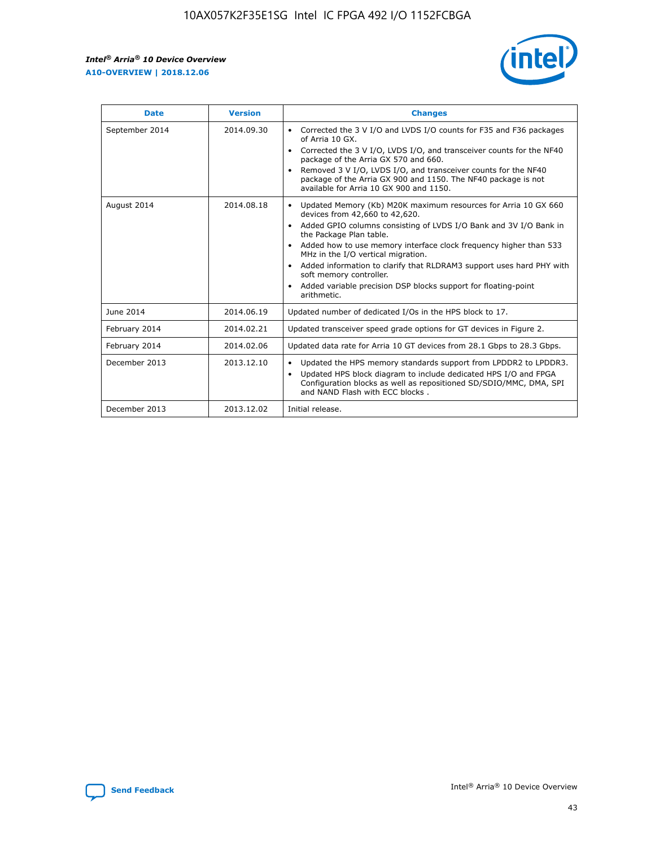

| <b>Date</b>    | <b>Version</b> | <b>Changes</b>                                                                                                                                                                                                                                                                                                                                                                                                                                                                                                                                      |
|----------------|----------------|-----------------------------------------------------------------------------------------------------------------------------------------------------------------------------------------------------------------------------------------------------------------------------------------------------------------------------------------------------------------------------------------------------------------------------------------------------------------------------------------------------------------------------------------------------|
| September 2014 | 2014.09.30     | Corrected the 3 V I/O and LVDS I/O counts for F35 and F36 packages<br>$\bullet$<br>of Arria 10 GX.<br>Corrected the 3 V I/O, LVDS I/O, and transceiver counts for the NF40<br>$\bullet$<br>package of the Arria GX 570 and 660.<br>Removed 3 V I/O, LVDS I/O, and transceiver counts for the NF40<br>$\bullet$<br>package of the Arria GX 900 and 1150. The NF40 package is not<br>available for Arria 10 GX 900 and 1150.                                                                                                                          |
| August 2014    | 2014.08.18     | Updated Memory (Kb) M20K maximum resources for Arria 10 GX 660<br>devices from 42,660 to 42,620.<br>Added GPIO columns consisting of LVDS I/O Bank and 3V I/O Bank in<br>$\bullet$<br>the Package Plan table.<br>Added how to use memory interface clock frequency higher than 533<br>$\bullet$<br>MHz in the I/O vertical migration.<br>Added information to clarify that RLDRAM3 support uses hard PHY with<br>$\bullet$<br>soft memory controller.<br>Added variable precision DSP blocks support for floating-point<br>$\bullet$<br>arithmetic. |
| June 2014      | 2014.06.19     | Updated number of dedicated I/Os in the HPS block to 17.                                                                                                                                                                                                                                                                                                                                                                                                                                                                                            |
| February 2014  | 2014.02.21     | Updated transceiver speed grade options for GT devices in Figure 2.                                                                                                                                                                                                                                                                                                                                                                                                                                                                                 |
| February 2014  | 2014.02.06     | Updated data rate for Arria 10 GT devices from 28.1 Gbps to 28.3 Gbps.                                                                                                                                                                                                                                                                                                                                                                                                                                                                              |
| December 2013  | 2013.12.10     | Updated the HPS memory standards support from LPDDR2 to LPDDR3.<br>Updated HPS block diagram to include dedicated HPS I/O and FPGA<br>$\bullet$<br>Configuration blocks as well as repositioned SD/SDIO/MMC, DMA, SPI<br>and NAND Flash with ECC blocks.                                                                                                                                                                                                                                                                                            |
| December 2013  | 2013.12.02     | Initial release.                                                                                                                                                                                                                                                                                                                                                                                                                                                                                                                                    |